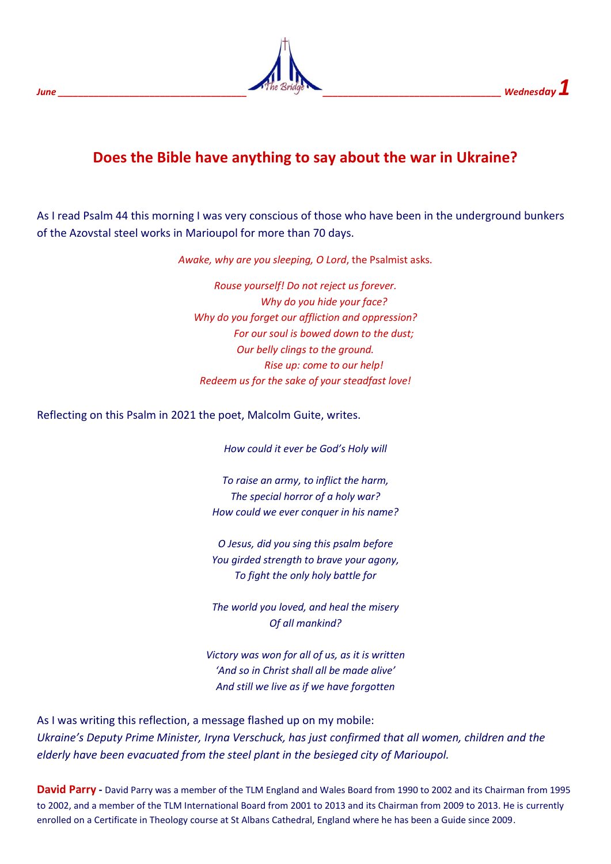## **Does the Bible have anything to say about the war in Ukraine?**

As I read Psalm 44 this morning I was very conscious of those who have been in the underground bunkers of the Azovstal steel works in Marioupol for more than 70 days.

*Awake, why are you sleeping, O Lord*, the Psalmist asks.

*Rouse yourself! Do not reject us forever. Why do you hide your face? Why do you forget our affliction and oppression? For our soul is bowed down to the dust; Our belly clings to the ground. Rise up: come to our help! Redeem us for the sake of your steadfast love!*

Reflecting on this Psalm in 2021 the poet, Malcolm Guite, writes.

*How could it ever be God's Holy will*

*To raise an army, to inflict the harm, The special horror of a holy war? How could we ever conquer in his name?*

*O Jesus, did you sing this psalm before You girded strength to brave your agony, To fight the only holy battle for*

*The world you loved, and heal the misery Of all mankind?*

*Victory was won for all of us, as it is written 'And so in Christ shall all be made alive' And still we live as if we have forgotten*

As I was writing this reflection, a message flashed up on my mobile: *Ukraine's Deputy Prime Minister, Iryna Verschuck, has just confirmed that all women, children and the elderly have been evacuated from the steel plant in the besieged city of Marioupol.*

**David Parry -** David Parry was a member of the TLM England and Wales Board from 1990 to 2002 and its Chairman from 1995 to 2002, and a member of the TLM International Board from 2001 to 2013 and its Chairman from 2009 to 2013. He is currently enrolled on a Certificate in Theology course at St Albans Cathedral, England where he has been a Guide since 2009.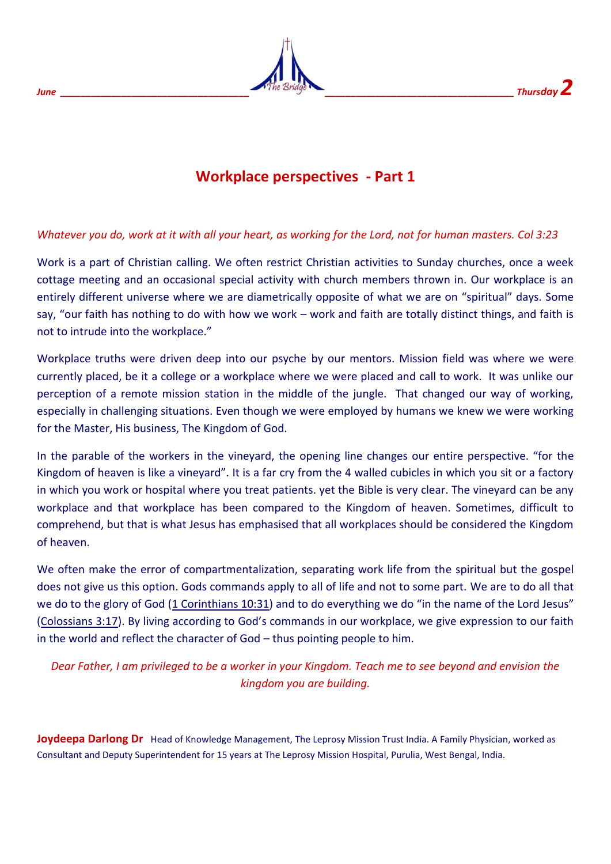

## **Workplace perspectives - Part 1**

## *Whatever you do, work at it with all your heart, as working for the Lord, not for human masters. Col 3:23*

Work is a part of Christian calling. We often restrict Christian activities to Sunday churches, once a week cottage meeting and an occasional special activity with church members thrown in. Our workplace is an entirely different universe where we are diametrically opposite of what we are on "spiritual" days. Some say, "our faith has nothing to do with how we work – work and faith are totally distinct things, and faith is not to intrude into the workplace."

Workplace truths were driven deep into our psyche by our mentors. Mission field was where we were currently placed, be it a college or a workplace where we were placed and call to work. It was unlike our perception of a remote mission station in the middle of the jungle. That changed our way of working, especially in challenging situations. Even though we were employed by humans we knew we were working for the Master, His business, The Kingdom of God.

In the parable of the workers in the vineyard, the opening line changes our entire perspective. "for the Kingdom of heaven is like a vineyard". It is a far cry from the 4 walled cubicles in which you sit or a factory in which you work or hospital where you treat patients. yet the Bible is very clear. The vineyard can be any workplace and that workplace has been compared to the Kingdom of heaven. Sometimes, difficult to comprehend, but that is what Jesus has emphasised that all workplaces should be considered the Kingdom of heaven.

We often make the error of compartmentalization, separating work life from the spiritual but the gospel does not give us this option. Gods commands apply to all of life and not to some part. We are to do all that we do to the glory of God [\(1 Corinthians 10:31\)](https://biblia.com/bible/csb/1%20Cor%2010.31) and to do everything we do "in the name of the Lord Jesus" [\(Colossians 3:17](https://biblia.com/bible/csb/Col%203.17)). By living according to God's commands in our workplace, we give expression to our faith in the world and reflect the character of God – thus pointing people to him.

*Dear Father, I am privileged to be a worker in your Kingdom. Teach me to see beyond and envision the kingdom you are building.*

**Joydeepa Darlong Dr**Head of Knowledge Management, The Leprosy Mission Trust India. A Family Physician, worked as Consultant and Deputy Superintendent for 15 years at The Leprosy Mission Hospital, Purulia, West Bengal, India.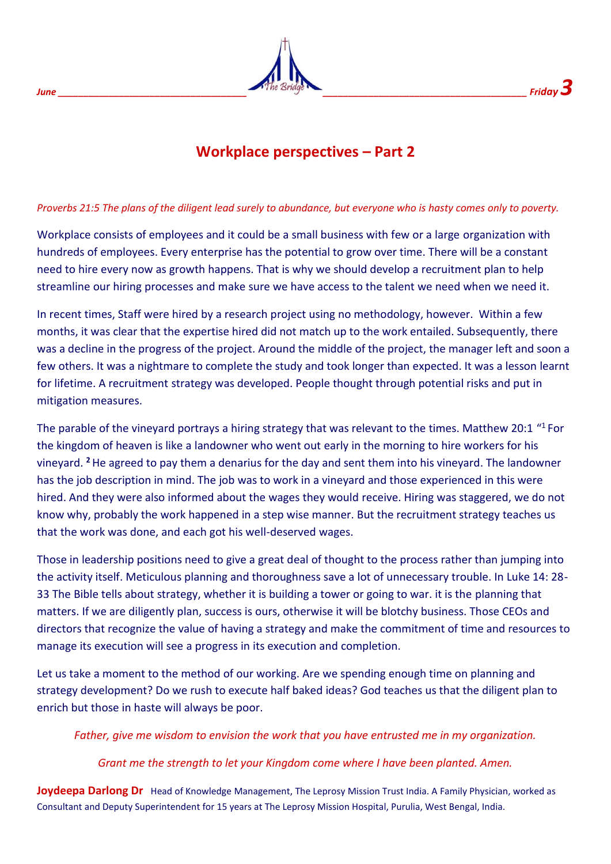# *June \_\_\_\_\_\_\_\_\_\_\_\_\_\_\_\_\_\_\_\_\_\_\_\_\_\_\_\_\_\_\_\_\_\_\_\_\_ \_\_\_\_\_\_\_\_\_\_\_\_\_\_\_\_\_\_\_\_\_\_\_\_\_\_\_\_\_\_\_\_\_\_\_\_\_\_\_\_ Friday 3*

## **Workplace perspectives – Part 2**

#### *Proverbs 21:5 The plans of the diligent lead surely to abundance, but everyone who is hasty comes only to poverty.*

Workplace consists of employees and it could be a small business with few or a large organization with hundreds of employees. Every enterprise has the potential to grow over time. There will be a constant need to hire every now as growth happens. That is why we should develop a recruitment plan to help streamline our hiring processes and make sure we have access to the talent we need when we need it.

In recent times, Staff were hired by a research project using no methodology, however. Within a few months, it was clear that the expertise hired did not match up to the work entailed. Subsequently, there was a decline in the progress of the project. Around the middle of the project, the manager left and soon a few others. It was a nightmare to complete the study and took longer than expected. It was a lesson learnt for lifetime. A recruitment strategy was developed. People thought through potential risks and put in mitigation measures.

The parable of the vineyard portrays a hiring strategy that was relevant to the times. Matthew 20:1 "<sup>1</sup> For the kingdom of heaven is like a landowner who went out early in the morning to hire workers for his vineyard. **<sup>2</sup>**He agreed to pay them a denarius for the day and sent them into his vineyard. The landowner has the job description in mind. The job was to work in a vineyard and those experienced in this were hired. And they were also informed about the wages they would receive. Hiring was staggered, we do not know why, probably the work happened in a step wise manner. But the recruitment strategy teaches us that the work was done, and each got his well-deserved wages.

Those in leadership positions need to give a great deal of thought to the process rather than jumping into the activity itself. Meticulous planning and thoroughness save a lot of unnecessary trouble. In Luke 14: 28- 33 The Bible tells about strategy, whether it is building a tower or going to war. it is the planning that matters. If we are diligently plan, success is ours, otherwise it will be blotchy business. Those CEOs and directors that recognize the value of having a strategy and make the commitment of time and resources to manage its execution will see a progress in its execution and completion.

Let us take a moment to the method of our working. Are we spending enough time on planning and strategy development? Do we rush to execute half baked ideas? God teaches us that the diligent plan to enrich but those in haste will always be poor.

*Father, give me wisdom to envision the work that you have entrusted me in my organization.*

#### *Grant me the strength to let your Kingdom come where I have been planted. Amen.*

**Joydeepa Darlong Dr**Head of Knowledge Management, The Leprosy Mission Trust India. A Family Physician, worked as Consultant and Deputy Superintendent for 15 years at The Leprosy Mission Hospital, Purulia, West Bengal, India.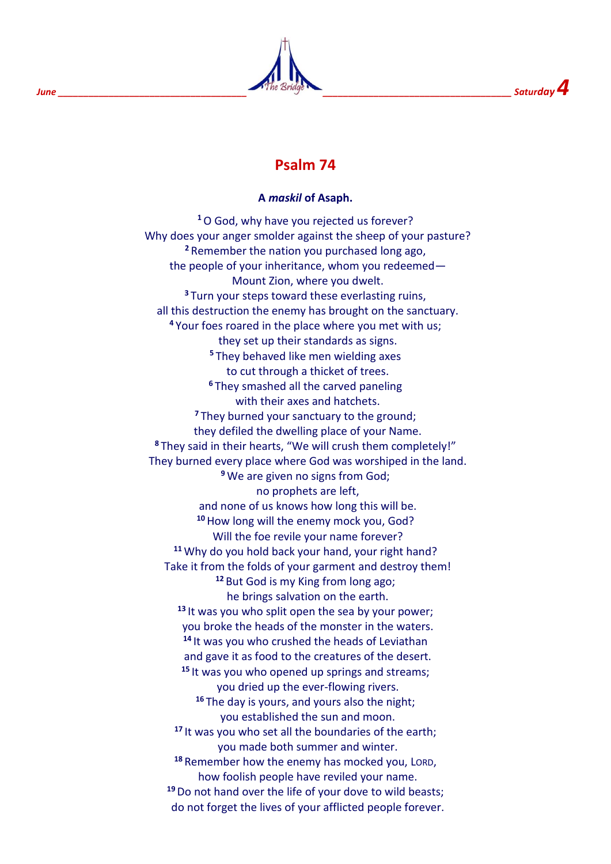

## **Psalm 74**

#### **A** *maskil* **of Asaph.**

**<sup>1</sup>**O God, why have you rejected us forever? Why does your anger smolder against the sheep of your pasture? **<sup>2</sup>** Remember the nation you purchased long ago, the people of your inheritance, whom you redeemed— Mount Zion, where you dwelt. **<sup>3</sup>** Turn your steps toward these everlasting ruins, all this destruction the enemy has brought on the sanctuary. **<sup>4</sup>** Your foes roared in the place where you met with us; they set up their standards as signs. **<sup>5</sup>** They behaved like men wielding axes to cut through a thicket of trees. **<sup>6</sup>** They smashed all the carved paneling with their axes and hatchets. **<sup>7</sup>** They burned your sanctuary to the ground; they defiled the dwelling place of your Name. **<sup>8</sup>** They said in their hearts, "We will crush them completely!" They burned every place where God was worshiped in the land. **<sup>9</sup>** We are given no signs from God; no prophets are left, and none of us knows how long this will be. **<sup>10</sup>**How long will the enemy mock you, God? Will the foe revile your name forever? **<sup>11</sup>** Why do you hold back your hand, your right hand? Take it from the folds of your garment and destroy them! **<sup>12</sup>** But God is my King from long ago; he brings salvation on the earth. **<sup>13</sup>** It was you who split open the sea by your power; you broke the heads of the monster in the waters. **<sup>14</sup>** It was you who crushed the heads of Leviathan and gave it as food to the creatures of the desert. **<sup>15</sup>** It was you who opened up springs and streams; you dried up the ever-flowing rivers. **<sup>16</sup>** The day is yours, and yours also the night; you established the sun and moon. **<sup>17</sup>** It was you who set all the boundaries of the earth; you made both summer and winter. **<sup>18</sup>** Remember how the enemy has mocked you, LORD, how foolish people have reviled your name. **<sup>19</sup>**Do not hand over the life of your dove to wild beasts; do not forget the lives of your afflicted people forever.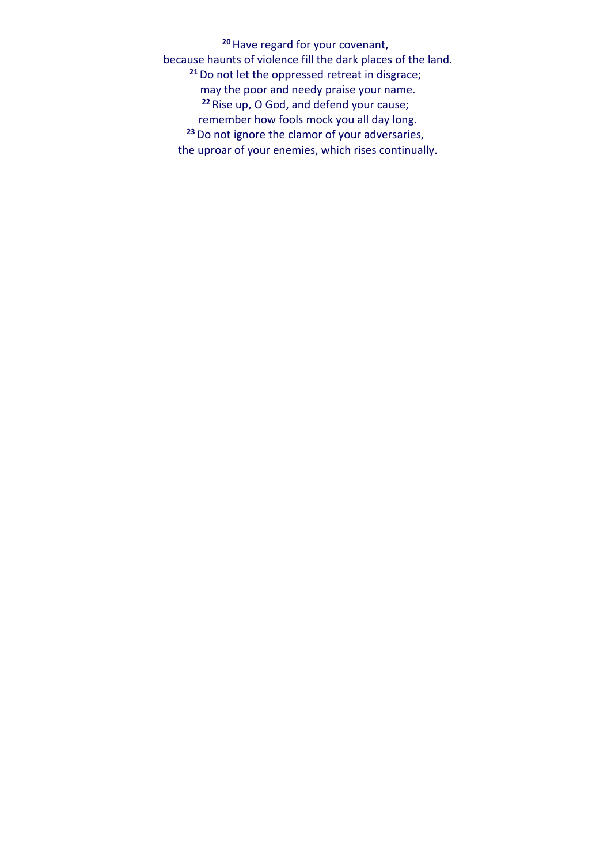**<sup>20</sup>**Have regard for your covenant, because haunts of violence fill the dark places of the land. **<sup>21</sup>**Do not let the oppressed retreat in disgrace; may the poor and needy praise your name. **<sup>22</sup>** Rise up, O God, and defend your cause; remember how fools mock you all day long. **<sup>23</sup>**Do not ignore the clamor of your adversaries, the uproar of your enemies, which rises continually.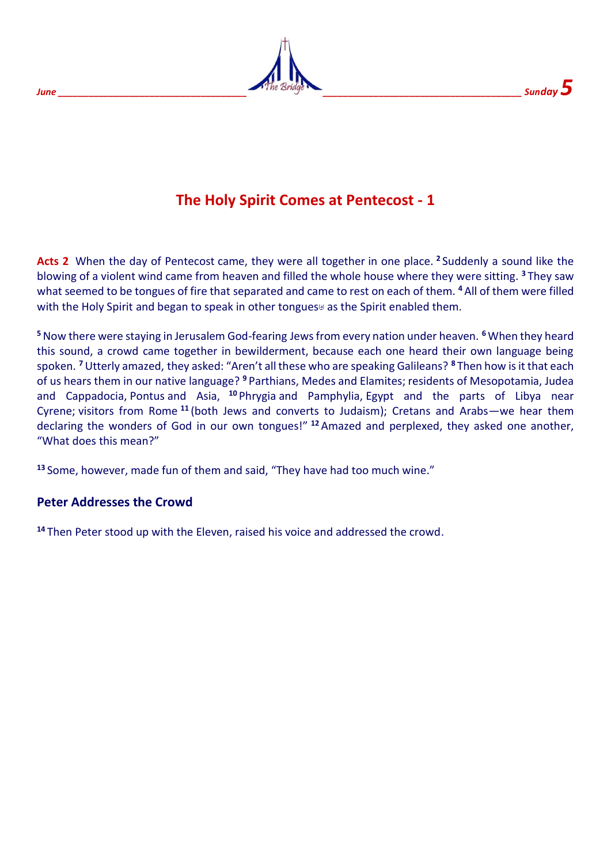

# **The Holy Spirit Comes at Pentecost - 1**

**Acts 2** When the day of Pentecost came, they were all together in one place. **<sup>2</sup>** Suddenly a sound like the blowing of a violent wind came from heaven and filled the whole house where they were sitting. **<sup>3</sup>** They saw what seemed to be tongues of fire that separated and came to rest on each of them. **<sup>4</sup>** All of them were filled with the Holy Spirit and began to speak in other tongues<sup>[\[a\]](https://www.biblegateway.com/passage/?search=Acts%202&version=NIV#fen-NIV-26954a)</sup> as the Spirit enabled them.

**<sup>5</sup>**Now there were staying in Jerusalem God-fearing Jews from every nation under heaven. **<sup>6</sup>** When they heard this sound, a crowd came together in bewilderment, because each one heard their own language being spoken. **<sup>7</sup>**Utterly amazed, they asked: "Aren't all these who are speaking Galileans? **<sup>8</sup>** Then how is it that each of us hears them in our native language? **<sup>9</sup>** Parthians, Medes and Elamites; residents of Mesopotamia, Judea and Cappadocia, Pontus and Asia, **<sup>10</sup>** Phrygia and Pamphylia, Egypt and the parts of Libya near Cyrene; visitors from Rome **<sup>11</sup>** (both Jews and converts to Judaism); Cretans and Arabs—we hear them declaring the wonders of God in our own tongues!" **<sup>12</sup>** Amazed and perplexed, they asked one another, "What does this mean?"

**<sup>13</sup>** Some, however, made fun of them and said, "They have had too much wine."

## **Peter Addresses the Crowd**

**<sup>14</sup>** Then Peter stood up with the Eleven, raised his voice and addressed the crowd.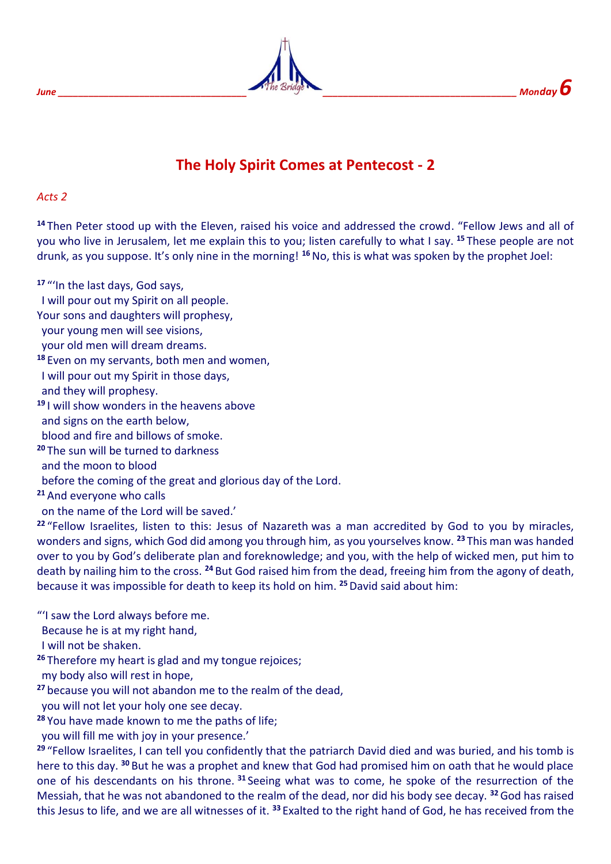



## **The Holy Spirit Comes at Pentecost - 2**

#### *Acts 2*

**<sup>14</sup>** Then Peter stood up with the Eleven, raised his voice and addressed the crowd. "Fellow Jews and all of you who live in Jerusalem, let me explain this to you; listen carefully to what I say. **<sup>15</sup>** These people are not drunk, as you suppose. It's only nine in the morning! **<sup>16</sup>**No, this is what was spoken by the prophet Joel:

**<sup>17</sup>** "'In the last days, God says,

I will pour out my Spirit on all people.

Your sons and daughters will prophesy,

your young men will see visions,

your old men will dream dreams.

**<sup>18</sup>** Even on my servants, both men and women,

I will pour out my Spirit in those days,

and they will prophesy.

**<sup>19</sup>** I will show wonders in the heavens above

and signs on the earth below,

blood and fire and billows of smoke.

**<sup>20</sup>** The sun will be turned to darkness

and the moon to blood

before the coming of the great and glorious day of the Lord.

**<sup>21</sup>** And everyone who calls

on the name of the Lord will be saved.'

**<sup>22</sup>** "Fellow Israelites, listen to this: Jesus of Nazareth was a man accredited by God to you by miracles, wonders and signs, which God did among you through him, as you yourselves know. **<sup>23</sup>** This man was handed over to you by God's deliberate plan and foreknowledge; and you, with the help of wicked men, put him to death by nailing him to the cross. **<sup>24</sup>** But God raised him from the dead, freeing him from the agony of death, because it was impossible for death to keep its hold on him. **<sup>25</sup>**David said about him:

"'I saw the Lord always before me.

Because he is at my right hand,

I will not be shaken.

**<sup>26</sup>** Therefore my heart is glad and my tongue rejoices;

my body also will rest in hope,

**<sup>27</sup>** because you will not abandon me to the realm of the dead,

you will not let your holy one see decay.

**<sup>28</sup>** You have made known to me the paths of life;

you will fill me with joy in your presence.'

**<sup>29</sup>** "Fellow Israelites, I can tell you confidently that the patriarch David died and was buried, and his tomb is here to this day. **<sup>30</sup>** But he was a prophet and knew that God had promised him on oath that he would place one of his descendants on his throne. **<sup>31</sup>** Seeing what was to come, he spoke of the resurrection of the Messiah, that he was not abandoned to the realm of the dead, nor did his body see decay. **<sup>32</sup>**God has raised this Jesus to life, and we are all witnesses of it. **<sup>33</sup>** Exalted to the right hand of God, he has received from the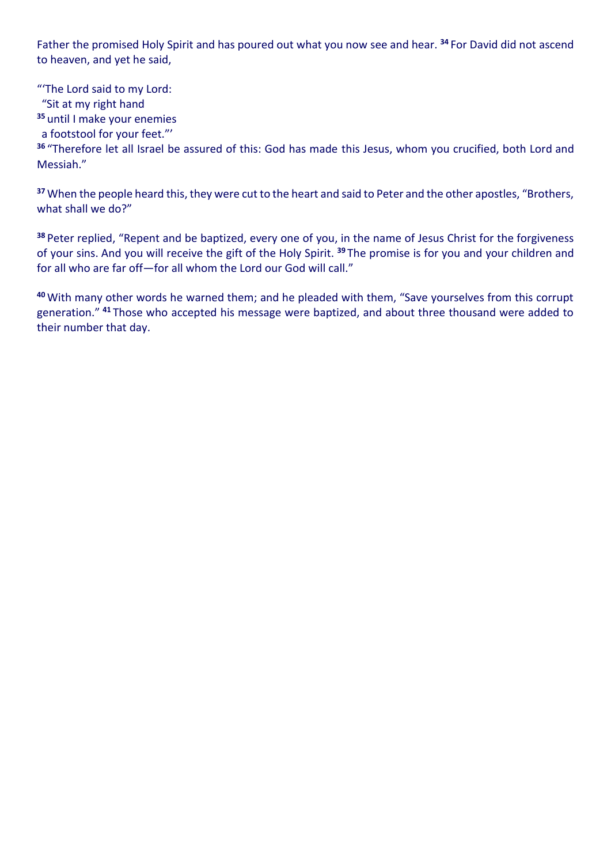Father the promised Holy Spirit and has poured out what you now see and hear. **<sup>34</sup>** For David did not ascend to heaven, and yet he said,

"'The Lord said to my Lord: "Sit at my right hand **<sup>35</sup>** until I make your enemies

a footstool for your feet."'

**<sup>36</sup>** "Therefore let all Israel be assured of this: God has made this Jesus, whom you crucified, both Lord and Messiah."

**<sup>37</sup>** When the people heard this, they were cut to the heart and said to Peter and the other apostles, "Brothers, what shall we do?"

**<sup>38</sup>** Peter replied, "Repent and be baptized, every one of you, in the name of Jesus Christ for the forgiveness of your sins. And you will receive the gift of the Holy Spirit. **<sup>39</sup>** The promise is for you and your children and for all who are far off—for all whom the Lord our God will call."

**<sup>40</sup>** With many other words he warned them; and he pleaded with them, "Save yourselves from this corrupt generation." **<sup>41</sup>** Those who accepted his message were baptized, and about three thousand were added to their number that day.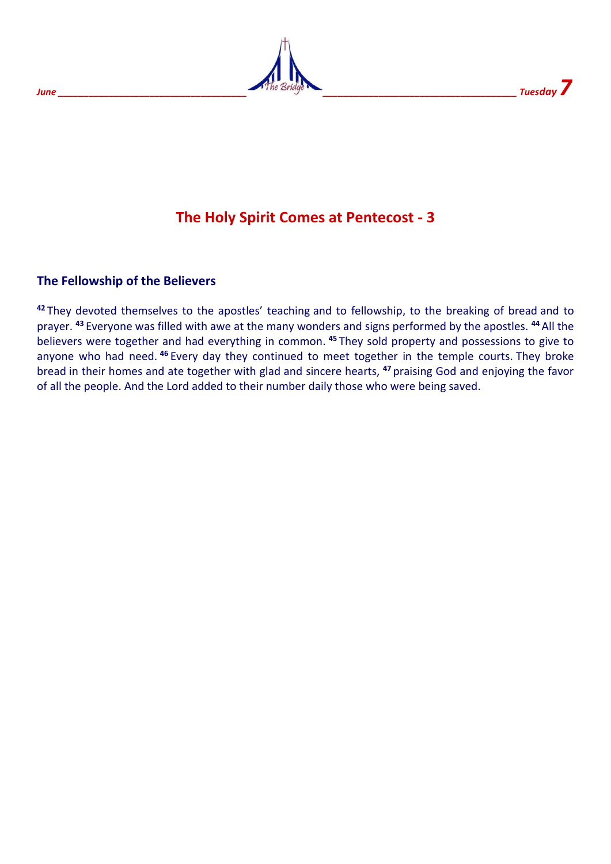



## **The Holy Spirit Comes at Pentecost - 3**

#### **The Fellowship of the Believers**

**<sup>42</sup>** They devoted themselves to the apostles' teaching and to fellowship, to the breaking of bread and to prayer. **<sup>43</sup>** Everyone was filled with awe at the many wonders and signs performed by the apostles. **<sup>44</sup>** All the believers were together and had everything in common. **<sup>45</sup>** They sold property and possessions to give to anyone who had need. **<sup>46</sup>** Every day they continued to meet together in the temple courts. They broke bread in their homes and ate together with glad and sincere hearts, **<sup>47</sup>** praising God and enjoying the favor of all the people. And the Lord added to their number daily those who were being saved.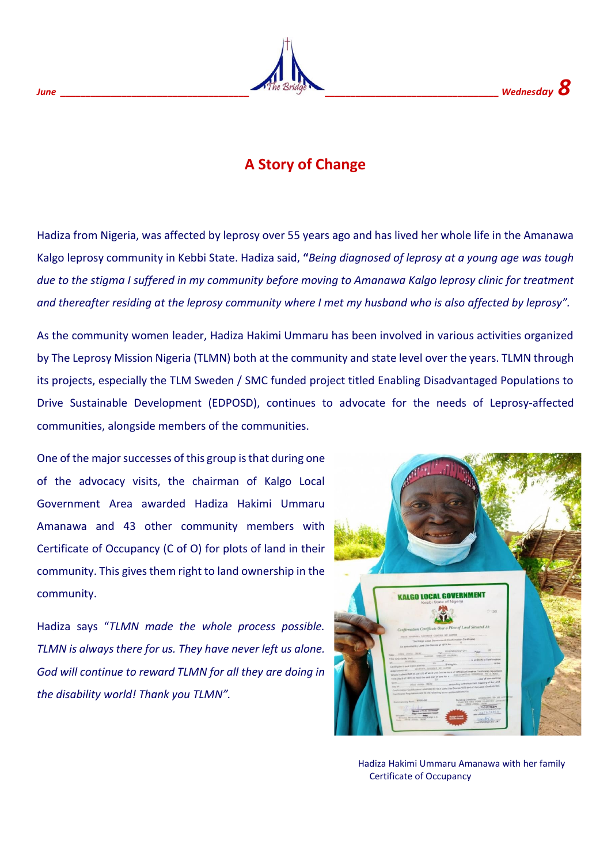## **A Story of Change**

Hadiza from Nigeria, was affected by leprosy over 55 years ago and has lived her whole life in the Amanawa Kalgo leprosy community in Kebbi State. Hadiza said, **"***Being diagnosed of leprosy at a young age was tough due to the stigma I suffered in my community before moving to Amanawa Kalgo leprosy clinic for treatment and thereafter residing at the leprosy community where I met my husband who is also affected by leprosy".*

As the community women leader, Hadiza Hakimi Ummaru has been involved in various activities organized by The Leprosy Mission Nigeria (TLMN) both at the community and state level over the years. TLMN through its projects, especially the TLM Sweden / SMC funded project titled Enabling Disadvantaged Populations to Drive Sustainable Development (EDPOSD), continues to advocate for the needs of Leprosy-affected communities, alongside members of the communities.

One of the major successes of this group is that during one of the advocacy visits, the chairman of Kalgo Local Government Area awarded Hadiza Hakimi Ummaru Amanawa and 43 other community members with Certificate of Occupancy (C of O) for plots of land in their community. This gives them right to land ownership in the community.

Hadiza says "*TLMN made the whole process possible. TLMN is always there for us. They have never left us alone. God will continue to reward TLMN for all they are doing in the disability world! Thank you TLMN".*



 Hadiza Hakimi Ummaru Amanawa with her family Certificate of Occupancy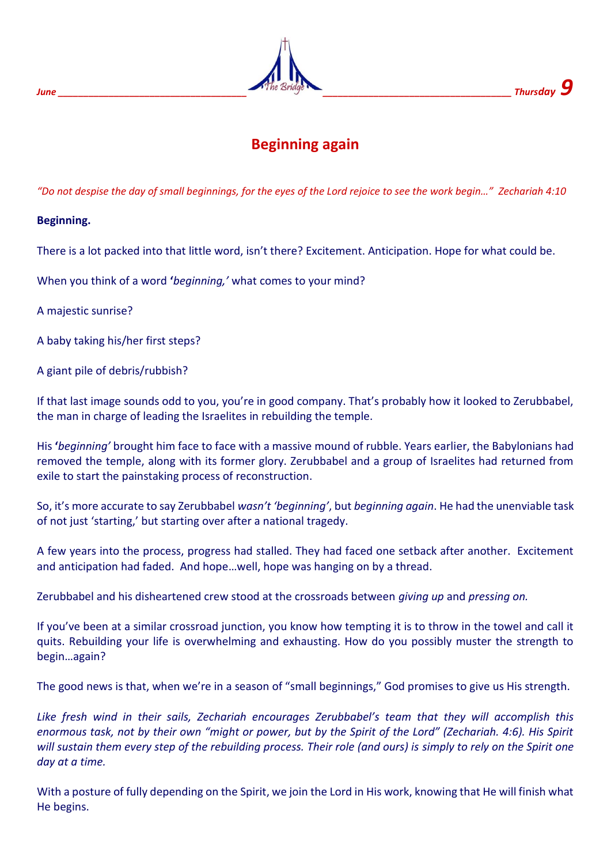

## **Beginning again**

*"Do not despise the day of small beginnings, for the eyes of the Lord rejoice to see the work begin…" Zechariah 4:10*

#### **Beginning.**

There is a lot packed into that little word, isn't there? Excitement. Anticipation. Hope for what could be.

When you think of a word **'***beginning,'* what comes to your mind?

A majestic sunrise?

A baby taking his/her first steps?

A giant pile of debris/rubbish?

If that last image sounds odd to you, you're in good company. That's probably how it looked to Zerubbabel, the man in charge of leading the Israelites in rebuilding the temple.

His **'***beginning'* brought him face to face with a massive mound of rubble. Years earlier, the Babylonians had removed the temple, along with its former glory. Zerubbabel and a group of Israelites had returned from exile to start the painstaking process of reconstruction.

So, it's more accurate to say Zerubbabel *wasn't 'beginning'*, but *beginning again*. He had the unenviable task of not just 'starting,' but starting over after a national tragedy.

A few years into the process, progress had stalled. They had faced one setback after another. Excitement and anticipation had faded. And hope…well, hope was hanging on by a thread.

Zerubbabel and his disheartened crew stood at the crossroads between *giving up* and *pressing on.*

If you've been at a similar crossroad junction, you know how tempting it is to throw in the towel and call it quits. Rebuilding your life is overwhelming and exhausting. How do you possibly muster the strength to begin…again?

The good news is that, when we're in a season of "small beginnings," God promises to give us His strength.

*Like fresh wind in their sails, Zechariah encourages Zerubbabel's team that they will accomplish this enormous task, not by their own "might or power, but by the Spirit of the Lord" (Zechariah. 4:6). His Spirit will sustain them every step of the rebuilding process. Their role (and ours) is simply to rely on the Spirit one day at a time.* 

With a posture of fully depending on the Spirit, we join the Lord in His work, knowing that He will finish what He begins.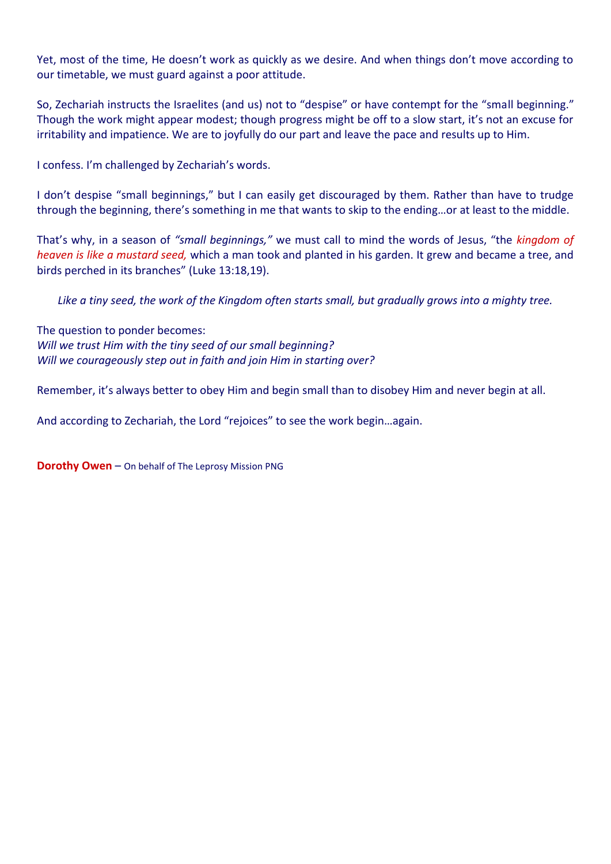Yet, most of the time, He doesn't work as quickly as we desire. And when things don't move according to our timetable, we must guard against a poor attitude.

So, Zechariah instructs the Israelites (and us) not to "despise" or have contempt for the "small beginning." Though the work might appear modest; though progress might be off to a slow start, it's not an excuse for irritability and impatience. We are to joyfully do our part and leave the pace and results up to Him.

I confess. I'm challenged by Zechariah's words.

I don't despise "small beginnings," but I can easily get discouraged by them. Rather than have to trudge through the beginning, there's something in me that wants to skip to the ending…or at least to the middle.

That's why, in a season of *"small beginnings,"* we must call to mind the words of Jesus, "the *kingdom of heaven is like a mustard seed,* which a man took and planted in his garden. It grew and became a tree, and birds perched in its branches" (Luke 13:18,19).

*Like a tiny seed, the work of the Kingdom often starts small, but gradually grows into a mighty tree.*

The question to ponder becomes: *Will we trust Him with the tiny seed of our small beginning? Will we courageously step out in faith and join Him in starting over?*

Remember, it's always better to obey Him and begin small than to disobey Him and never begin at all.

And according to Zechariah, the Lord "rejoices" to see the work begin…again.

**Dorothy Owen** – On behalf of The Leprosy Mission PNG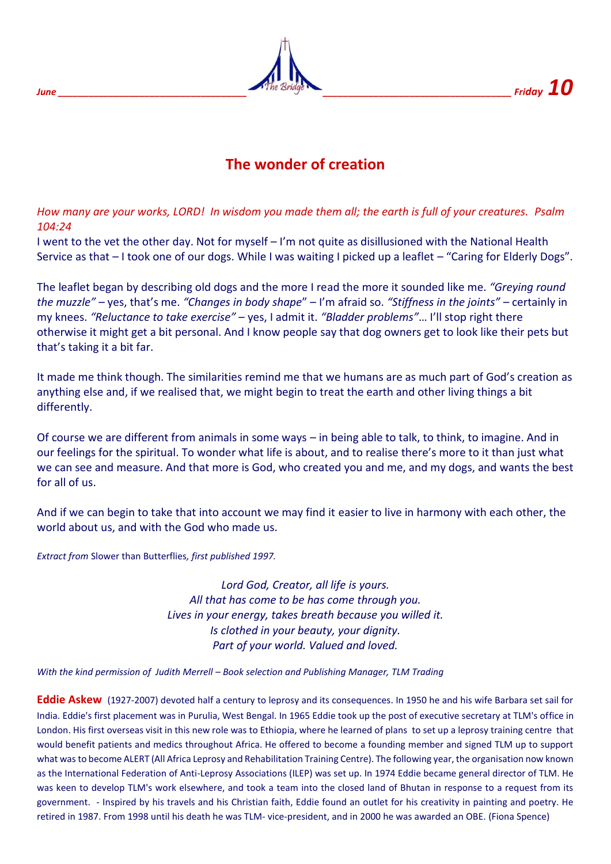

## **The wonder of creation**

*How many are your works, LORD! In wisdom you made them all; the earth is full of your creatures. Psalm 104:24*

I went to the vet the other day. Not for myself – I'm not quite as disillusioned with the National Health Service as that – I took one of our dogs. While I was waiting I picked up a leaflet – "Caring for Elderly Dogs".

The leaflet began by describing old dogs and the more I read the more it sounded like me. *"Greying round the muzzle"* – yes, that's me. *"Changes in body shape*" – I'm afraid so. *"Stiffness in the joints"* – certainly in my knees. *"Reluctance to take exercise"* – yes, I admit it. *"Bladder problems"*… I'll stop right there otherwise it might get a bit personal. And I know people say that dog owners get to look like their pets but that's taking it a bit far.

It made me think though. The similarities remind me that we humans are as much part of God's creation as anything else and, if we realised that, we might begin to treat the earth and other living things a bit differently.

Of course we are different from animals in some ways – in being able to talk, to think, to imagine. And in our feelings for the spiritual. To wonder what life is about, and to realise there's more to it than just what we can see and measure. And that more is God, who created you and me, and my dogs, and wants the best for all of us.

And if we can begin to take that into account we may find it easier to live in harmony with each other, the world about us, and with the God who made us.

*Extract from* Slower than Butterflies*, first published 1997.* 

*Lord God, Creator, all life is yours. All that has come to be has come through you. Lives in your energy, takes breath because you willed it. Is clothed in your beauty, your dignity. Part of your world. Valued and loved.*

*With the kind permission of Judith Merrell – Book selection and Publishing Manager, TLM Trading*

**Eddie Askew** (1927-2007) devoted half a century to leprosy and its consequences. In 1950 he and his wife Barbara set sail for India. Eddie's first placement was in Purulia, West Bengal. In 1965 Eddie took up the post of executive secretary at TLM's office in London. His first overseas visit in this new role was to Ethiopia, where he learned of plans to set up a leprosy training centre that would benefit patients and medics throughout Africa. He offered to become a founding member and signed TLM up to support what was to become ALERT (All Africa Leprosy and Rehabilitation Training Centre). The following year, the organisation now known as the International Federation of Anti-Leprosy Associations (ILEP) was set up. In 1974 Eddie became general director of TLM. He was keen to develop TLM's work elsewhere, and took a team into the closed land of Bhutan in response to a request from its government. - Inspired by his travels and his Christian faith, Eddie found an outlet for his creativity in painting and poetry. He retired in 1987. From 1998 until his death he was TLM- vice-president, and in 2000 he was awarded an OBE. (Fiona Spence)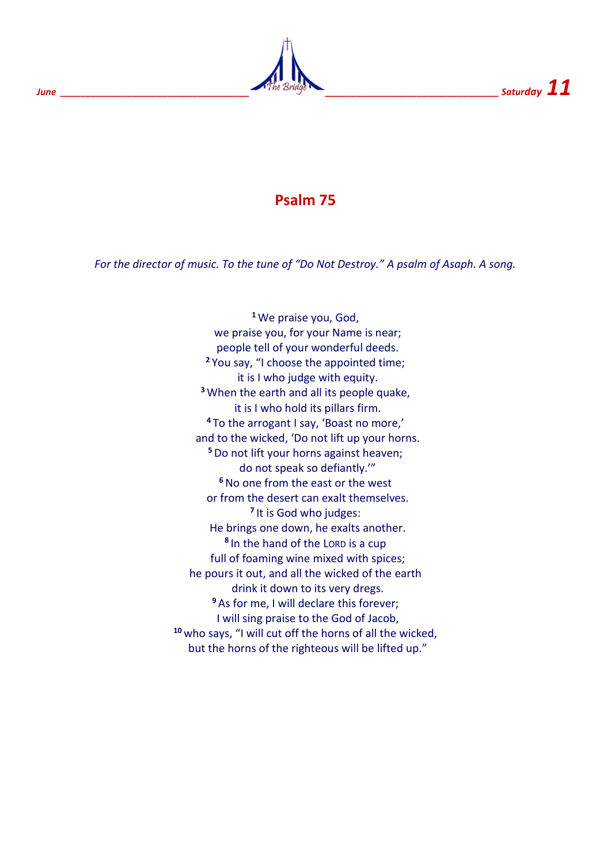

## **Psalm 75**

*For the director of music. To the tune of "Do Not Destroy." A psalm of Asaph. A song.*

**<sup>1</sup>** We praise you, God, we praise you, for your Name is near; people tell of your wonderful deeds. **<sup>2</sup>** You say, "I choose the appointed time; it is I who judge with equity. **<sup>3</sup>** When the earth and all its people quake, it is I who hold its pillars firm. **<sup>4</sup>** To the arrogant I say, 'Boast no more,' and to the wicked, 'Do not lift up your horns. **<sup>5</sup>**Do not lift your horns against heaven; do not speak so defiantly.'" **<sup>6</sup>**No one from the east or the west or from the desert can exalt themselves. **7** It is God who judges: He brings one down, he exalts another. **8** In the hand of the LORD is a cup full of foaming wine mixed with spices; he pours it out, and all the wicked of the earth drink it down to its very dregs. **<sup>9</sup>** As for me, I will declare this forever; I will sing praise to the God of Jacob, **<sup>10</sup>** who says, "I will cut off the horns of all the wicked, but the horns of the righteous will be lifted up."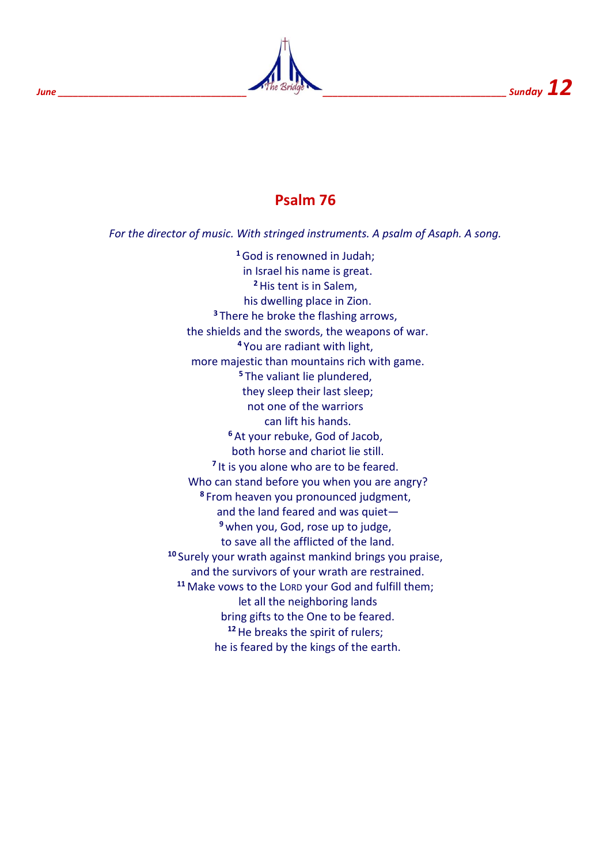

## **Psalm 76**

*For the director of music. With stringed instruments. A psalm of Asaph. A song.*

**<sup>1</sup>**God is renowned in Judah; in Israel his name is great. **<sup>2</sup>**His tent is in Salem, his dwelling place in Zion. **<sup>3</sup>** There he broke the flashing arrows, the shields and the swords, the weapons of war. **<sup>4</sup>** You are radiant with light, more majestic than mountains rich with game. **<sup>5</sup>** The valiant lie plundered, they sleep their last sleep; not one of the warriors can lift his hands. **<sup>6</sup>** At your rebuke, God of Jacob, both horse and chariot lie still. <sup>7</sup> It is you alone who are to be feared. Who can stand before you when you are angry? **<sup>8</sup>** From heaven you pronounced judgment, and the land feared and was quiet— **<sup>9</sup>** when you, God, rose up to judge, to save all the afflicted of the land. **<sup>10</sup>** Surely your wrath against mankind brings you praise, and the survivors of your wrath are restrained. **<sup>11</sup>** Make vows to the LORD your God and fulfill them; let all the neighboring lands bring gifts to the One to be feared. **<sup>12</sup>**He breaks the spirit of rulers; he is feared by the kings of the earth.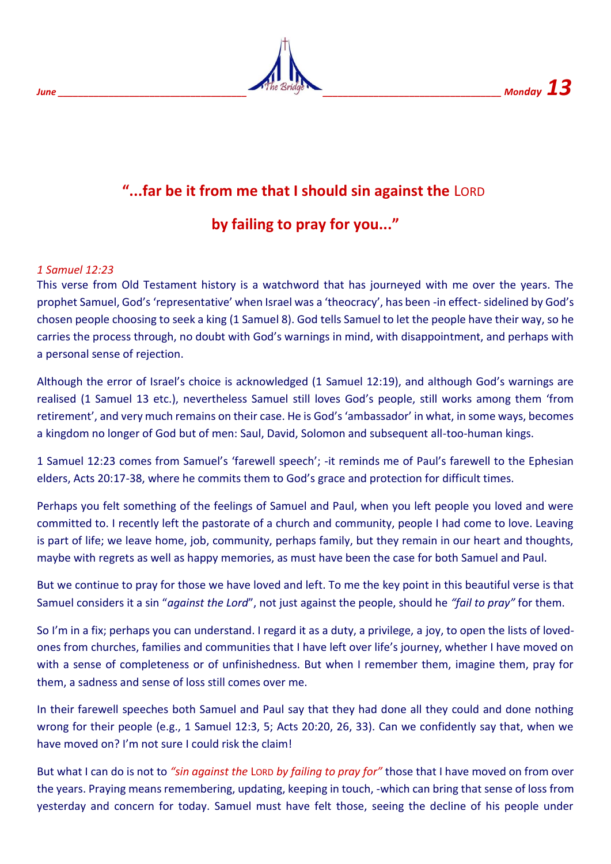

# **"...far be it from me that I should sin against the** LORD

## **by failing to pray for you..."**

#### *1 Samuel 12:23*

This verse from Old Testament history is a watchword that has journeyed with me over the years. The prophet Samuel, God's 'representative' when Israel was a 'theocracy', has been -in effect- sidelined by God's chosen people choosing to seek a king (1 Samuel 8). God tells Samuel to let the people have their way, so he carries the process through, no doubt with God's warnings in mind, with disappointment, and perhaps with a personal sense of rejection.

Although the error of Israel's choice is acknowledged (1 Samuel 12:19), and although God's warnings are realised (1 Samuel 13 etc.), nevertheless Samuel still loves God's people, still works among them 'from retirement', and very much remains on their case. He is God's 'ambassador' in what, in some ways, becomes a kingdom no longer of God but of men: Saul, David, Solomon and subsequent all-too-human kings.

1 Samuel 12:23 comes from Samuel's 'farewell speech'; -it reminds me of Paul's farewell to the Ephesian elders, Acts 20:17-38, where he commits them to God's grace and protection for difficult times.

Perhaps you felt something of the feelings of Samuel and Paul, when you left people you loved and were committed to. I recently left the pastorate of a church and community, people I had come to love. Leaving is part of life; we leave home, job, community, perhaps family, but they remain in our heart and thoughts, maybe with regrets as well as happy memories, as must have been the case for both Samuel and Paul.

But we continue to pray for those we have loved and left. To me the key point in this beautiful verse is that Samuel considers it a sin "*against the Lord*", not just against the people, should he *"fail to pray"* for them.

So I'm in a fix; perhaps you can understand. I regard it as a duty, a privilege, a joy, to open the lists of lovedones from churches, families and communities that I have left over life's journey, whether I have moved on with a sense of completeness or of unfinishedness. But when I remember them, imagine them, pray for them, a sadness and sense of loss still comes over me.

In their farewell speeches both Samuel and Paul say that they had done all they could and done nothing wrong for their people (e.g., 1 Samuel 12:3, 5; Acts 20:20, 26, 33). Can we confidently say that, when we have moved on? I'm not sure I could risk the claim!

But what I can do is not to *"sin against the* LORD *by failing to pray for"* those that I have moved on from over the years. Praying means remembering, updating, keeping in touch, -which can bring that sense of loss from yesterday and concern for today. Samuel must have felt those, seeing the decline of his people under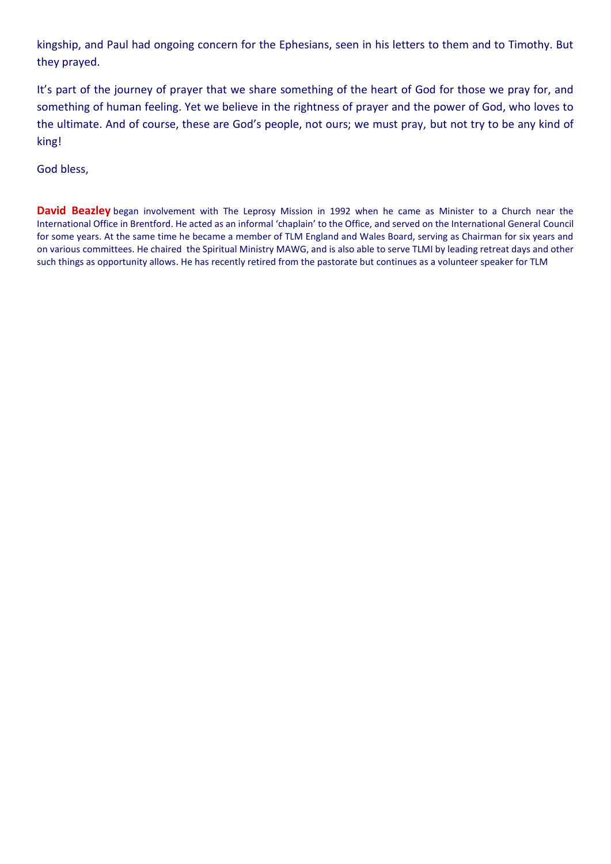kingship, and Paul had ongoing concern for the Ephesians, seen in his letters to them and to Timothy. But they prayed.

It's part of the journey of prayer that we share something of the heart of God for those we pray for, and something of human feeling. Yet we believe in the rightness of prayer and the power of God, who loves to the ultimate. And of course, these are God's people, not ours; we must pray, but not try to be any kind of king!

God bless,

**David Beazley** began involvement with The Leprosy Mission in 1992 when he came as Minister to a Church near the International Office in Brentford. He acted as an informal 'chaplain' to the Office, and served on the International General Council for some years. At the same time he became a member of TLM England and Wales Board, serving as Chairman for six years and on various committees. He chaired the Spiritual Ministry MAWG, and is also able to serve TLMI by leading retreat days and other such things as opportunity allows. He has recently retired from the pastorate but continues as a volunteer speaker for TLM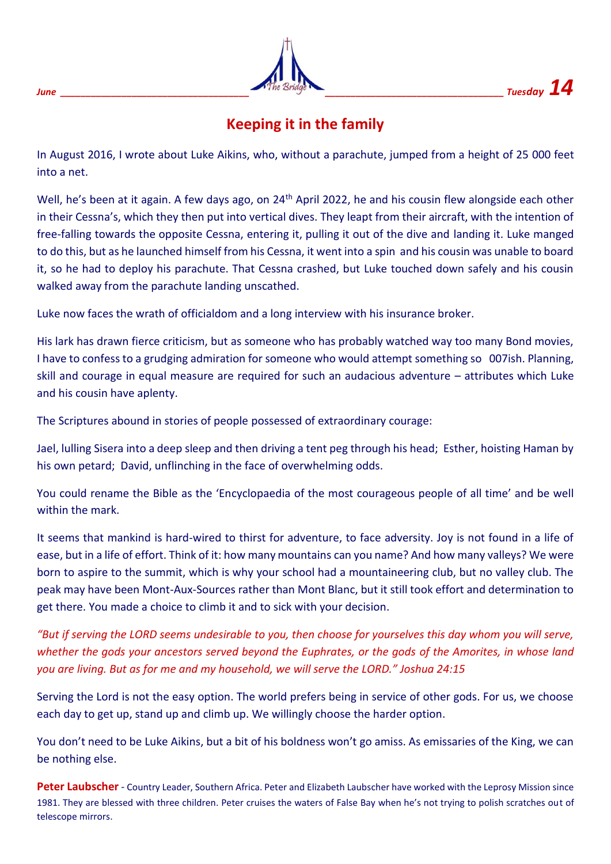|             | The Bridge |                   |
|-------------|------------|-------------------|
| <b>June</b> |            | Tuesday $\bf{14}$ |

## **Keeping it in the family**

In August 2016, I wrote about Luke Aikins, who, without a parachute, jumped from a height of 25 000 feet into a net.

Well, he's been at it again. A few days ago, on 24<sup>th</sup> April 2022, he and his cousin flew alongside each other in their Cessna's, which they then put into vertical dives. They leapt from their aircraft, with the intention of free-falling towards the opposite Cessna, entering it, pulling it out of the dive and landing it. Luke manged to do this, but as he launched himself from his Cessna, it went into a spin and his cousin was unable to board it, so he had to deploy his parachute. That Cessna crashed, but Luke touched down safely and his cousin walked away from the parachute landing unscathed.

Luke now faces the wrath of officialdom and a long interview with his insurance broker.

His lark has drawn fierce criticism, but as someone who has probably watched way too many Bond movies, I have to confess to a grudging admiration for someone who would attempt something so 007ish. Planning, skill and courage in equal measure are required for such an audacious adventure – attributes which Luke and his cousin have aplenty.

The Scriptures abound in stories of people possessed of extraordinary courage:

Jael, lulling Sisera into a deep sleep and then driving a tent peg through his head; Esther, hoisting Haman by his own petard; David, unflinching in the face of overwhelming odds.

You could rename the Bible as the 'Encyclopaedia of the most courageous people of all time' and be well within the mark.

It seems that mankind is hard-wired to thirst for adventure, to face adversity. Joy is not found in a life of ease, but in a life of effort. Think of it: how many mountains can you name? And how many valleys? We were born to aspire to the summit, which is why your school had a mountaineering club, but no valley club. The peak may have been Mont-Aux-Sources rather than Mont Blanc, but it still took effort and determination to get there. You made a choice to climb it and to sick with your decision.

*"But if serving the LORD seems undesirable to you, then choose for yourselves this day whom you will serve, whether the gods your ancestors served beyond the Euphrates, or the gods of the Amorites, in whose land you are living. But as for me and my household, we will serve the LORD." Joshua 24:15*

Serving the Lord is not the easy option. The world prefers being in service of other gods. For us, we choose each day to get up, stand up and climb up. We willingly choose the harder option.

You don't need to be Luke Aikins, but a bit of his boldness won't go amiss. As emissaries of the King, we can be nothing else.

**Peter Laubscher** - Country Leader, Southern Africa. Peter and Elizabeth Laubscher have worked with the Leprosy Mission since 1981. They are blessed with three children. Peter cruises the waters of False Bay when he's not trying to polish scratches out of telescope mirrors.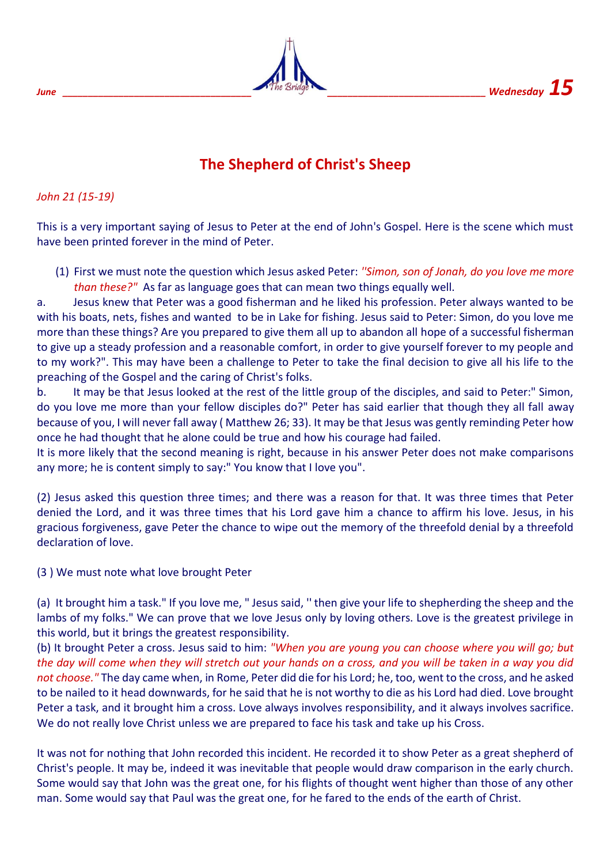

## **The Shepherd of Christ's Sheep**

#### *John 21 (15-19)*

This is a very important saying of Jesus to Peter at the end of John's Gospel. Here is the scene which must have been printed forever in the mind of Peter.

(1) First we must note the question which Jesus asked Peter: *''Simon, son of Jonah, do you love me more than these?"* As far as language goes that can mean two things equally well.

a. Jesus knew that Peter was a good fisherman and he liked his profession. Peter always wanted to be with his boats, nets, fishes and wanted to be in Lake for fishing. Jesus said to Peter: Simon, do you love me more than these things? Are you prepared to give them all up to abandon all hope of a successful fisherman to give up a steady profession and a reasonable comfort, in order to give yourself forever to my people and to my work?". This may have been a challenge to Peter to take the final decision to give all his life to the preaching of the Gospel and the caring of Christ's folks.

b. It may be that Jesus looked at the rest of the little group of the disciples, and said to Peter:" Simon, do you love me more than your fellow disciples do?" Peter has said earlier that though they all fall away because of you, I will never fall away ( Matthew 26; 33). It may be that Jesus was gently reminding Peter how once he had thought that he alone could be true and how his courage had failed.

It is more likely that the second meaning is right, because in his answer Peter does not make comparisons any more; he is content simply to say:" You know that I love you".

(2) Jesus asked this question three times; and there was a reason for that. It was three times that Peter denied the Lord, and it was three times that his Lord gave him a chance to affirm his love. Jesus, in his gracious forgiveness, gave Peter the chance to wipe out the memory of the threefold denial by a threefold declaration of love.

#### (3 ) We must note what love brought Peter

(a) It brought him a task." If you love me, " Jesus said, '' then give your life to shepherding the sheep and the lambs of my folks." We can prove that we love Jesus only by loving others. Love is the greatest privilege in this world, but it brings the greatest responsibility.

(b) It brought Peter a cross. Jesus said to him: *"When you are young you can choose where you will go; but the day will come when they will stretch out your hands on a cross, and you will be taken in a way you did not choose."* The day came when, in Rome, Peter did die for his Lord; he, too, went to the cross, and he asked to be nailed to it head downwards, for he said that he is not worthy to die as his Lord had died. Love brought Peter a task, and it brought him a cross. Love always involves responsibility, and it always involves sacrifice. We do not really love Christ unless we are prepared to face his task and take up his Cross.

It was not for nothing that John recorded this incident. He recorded it to show Peter as a great shepherd of Christ's people. It may be, indeed it was inevitable that people would draw comparison in the early church. Some would say that John was the great one, for his flights of thought went higher than those of any other man. Some would say that Paul was the great one, for he fared to the ends of the earth of Christ.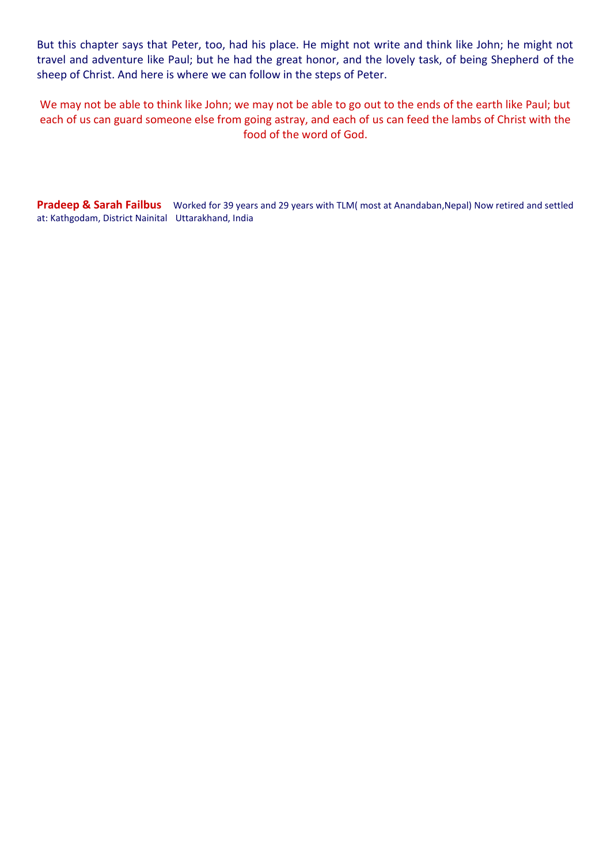But this chapter says that Peter, too, had his place. He might not write and think like John; he might not travel and adventure like Paul; but he had the great honor, and the lovely task, of being Shepherd of the sheep of Christ. And here is where we can follow in the steps of Peter.

We may not be able to think like John; we may not be able to go out to the ends of the earth like Paul; but each of us can guard someone else from going astray, and each of us can feed the lambs of Christ with the food of the word of God.

**Pradeep & Sarah Failbus** Worked for 39 years and 29 years with TLM( most at Anandaban, Nepal) Now retired and settled at: Kathgodam, District NainitalUttarakhand, India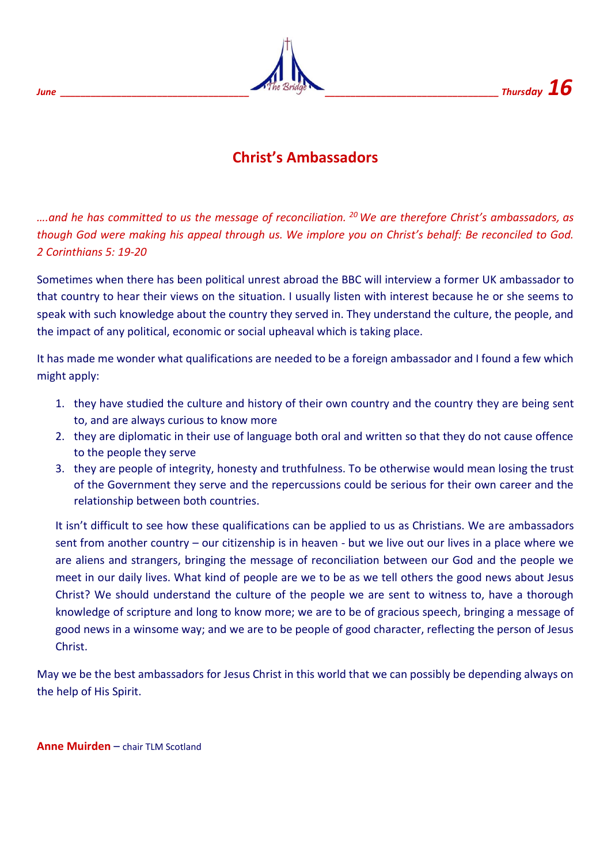

## **Christ's Ambassadors**

*….and he has committed to us the message of reconciliation. <sup>20</sup> We are therefore Christ's ambassadors, as though God were making his appeal through us. We implore you on Christ's behalf: Be reconciled to God. 2 Corinthians 5: 19-20*

Sometimes when there has been political unrest abroad the BBC will interview a former UK ambassador to that country to hear their views on the situation. I usually listen with interest because he or she seems to speak with such knowledge about the country they served in. They understand the culture, the people, and the impact of any political, economic or social upheaval which is taking place.

It has made me wonder what qualifications are needed to be a foreign ambassador and I found a few which might apply:

- 1. they have studied the culture and history of their own country and the country they are being sent to, and are always curious to know more
- 2. they are diplomatic in their use of language both oral and written so that they do not cause offence to the people they serve
- 3. they are people of integrity, honesty and truthfulness. To be otherwise would mean losing the trust of the Government they serve and the repercussions could be serious for their own career and the relationship between both countries.

It isn't difficult to see how these qualifications can be applied to us as Christians. We are ambassadors sent from another country – our citizenship is in heaven - but we live out our lives in a place where we are aliens and strangers, bringing the message of reconciliation between our God and the people we meet in our daily lives. What kind of people are we to be as we tell others the good news about Jesus Christ? We should understand the culture of the people we are sent to witness to, have a thorough knowledge of scripture and long to know more; we are to be of gracious speech, bringing a message of good news in a winsome way; and we are to be people of good character, reflecting the person of Jesus Christ.

May we be the best ambassadors for Jesus Christ in this world that we can possibly be depending always on the help of His Spirit.

**Anne Muirden** – chair TLM Scotland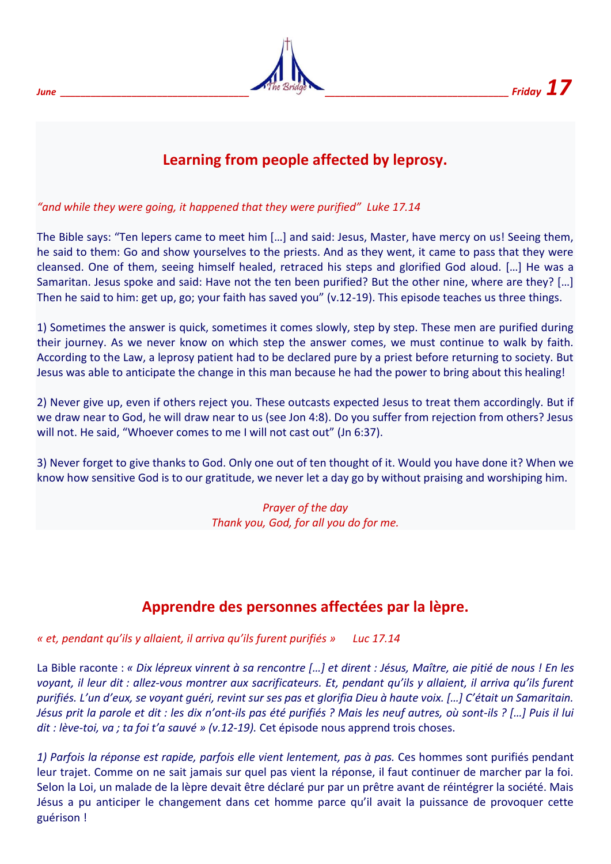

## **Learning from people affected by leprosy.**

*"and while they were going, it happened that they were purified" Luke 17.14*

The Bible says: "Ten lepers came to meet him […] and said: Jesus, Master, have mercy on us! Seeing them, he said to them: Go and show yourselves to the priests. And as they went, it came to pass that they were cleansed. One of them, seeing himself healed, retraced his steps and glorified God aloud. […] He was a Samaritan. Jesus spoke and said: Have not the ten been purified? But the other nine, where are they? […] Then he said to him: get up, go; your faith has saved you" (v.12-19). This episode teaches us three things.

1) Sometimes the answer is quick, sometimes it comes slowly, step by step. These men are purified during their journey. As we never know on which step the answer comes, we must continue to walk by faith. According to the Law, a leprosy patient had to be declared pure by a priest before returning to society. But Jesus was able to anticipate the change in this man because he had the power to bring about this healing!

2) Never give up, even if others reject you. These outcasts expected Jesus to treat them accordingly. But if we draw near to God, he will draw near to us (see Jon 4:8). Do you suffer from rejection from others? Jesus will not. He said, "Whoever comes to me I will not cast out" (Jn 6:37).

3) Never forget to give thanks to God. Only one out of ten thought of it. Would you have done it? When we know how sensitive God is to our gratitude, we never let a day go by without praising and worshiping him.

> *Prayer of the day Thank you, God, for all you do for me.*

## **Apprendre des personnes affectées par la lèpre.**

*« et, pendant qu'ils y allaient, il arriva qu'ils furent purifiés » Luc 17.14*

La Bible raconte : *« Dix lépreux vinrent à sa rencontre […] et dirent : Jésus, Maître, aie pitié de nous ! En les voyant, il leur dit : allez-vous montrer aux sacrificateurs. Et, pendant qu'ils y allaient, il arriva qu'ils furent purifiés. L'un d'eux, se voyant guéri, revint sur ses pas et glorifia Dieu à haute voix. […] C'était un Samaritain. Jésus prit la parole et dit : les dix n'ont-ils pas été purifiés ? Mais les neuf autres, où sont-ils ? […] Puis il lui dit : lève-toi, va ; ta foi t'a sauvé » (v.12-19).* Cet épisode nous apprend trois choses.

*1) Parfois la réponse est rapide, parfois elle vient lentement, pas à pas.* Ces hommes sont purifiés pendant leur trajet. Comme on ne sait jamais sur quel pas vient la réponse, il faut continuer de marcher par la foi. Selon la Loi, un malade de la lèpre devait être déclaré pur par un prêtre avant de réintégrer la société. Mais Jésus a pu anticiper le changement dans cet homme parce qu'il avait la puissance de provoquer cette guérison !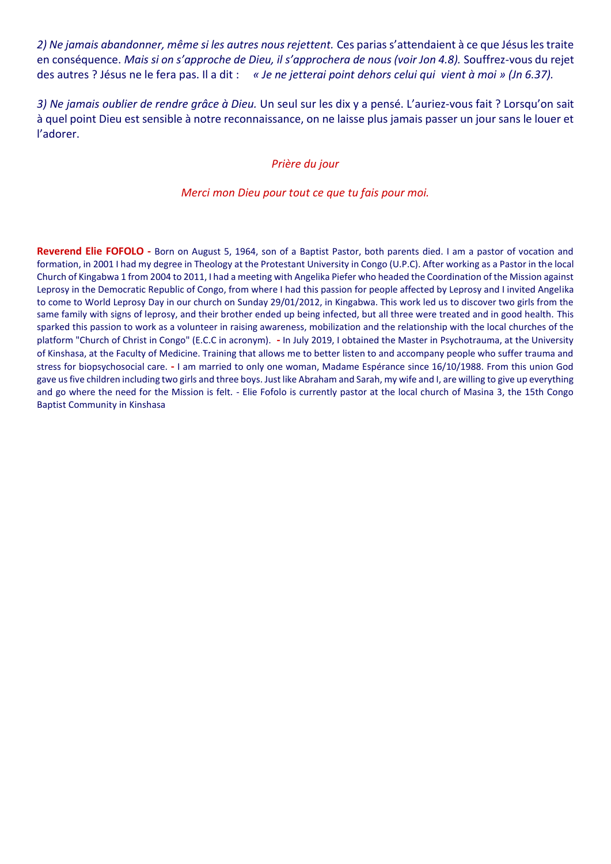*2) Ne jamais abandonner, même si les autres nous rejettent.* Ces parias s'attendaient à ce que Jésus les traite en conséquence. *Mais si on s'approche de Dieu, il s'approchera de nous (voir Jon 4.8).* Souffrez-vous du rejet des autres ? Jésus ne le fera pas. Il a dit : *« Je ne jetterai point dehors celui qui vient à moi » (Jn 6.37).*

*3) Ne jamais oublier de rendre grâce à Dieu.* Un seul sur les dix y a pensé. L'auriez-vous fait ? Lorsqu'on sait à quel point Dieu est sensible à notre reconnaissance, on ne laisse plus jamais passer un jour sans le louer et l'adorer.

#### *Prière du jour*

#### *Merci mon Dieu pour tout ce que tu fais pour moi.*

**Reverend Elie FOFOLO -** Born on August 5, 1964, son of a Baptist Pastor, both parents died. I am a pastor of vocation and formation, in 2001 I had my degree in Theology at the Protestant University in Congo (U.P.C). After working as a Pastor in the local Church of Kingabwa 1 from 2004 to 2011, I had a meeting with Angelika Piefer who headed the Coordination of the Mission against Leprosy in the Democratic Republic of Congo, from where I had this passion for people affected by Leprosy and I invited Angelika to come to World Leprosy Day in our church on Sunday 29/01/2012, in Kingabwa. This work led us to discover two girls from the same family with signs of leprosy, and their brother ended up being infected, but all three were treated and in good health. This sparked this passion to work as a volunteer in raising awareness, mobilization and the relationship with the local churches of the platform "Church of Christ in Congo" (E.C.C in acronym). **-** In July 2019, I obtained the Master in Psychotrauma, at the University of Kinshasa, at the Faculty of Medicine. Training that allows me to better listen to and accompany people who suffer trauma and stress for biopsychosocial care. **-** I am married to only one woman, Madame Espérance since 16/10/1988. From this union God gave us five children including two girls and three boys. Just like Abraham and Sarah, my wife and I, are willing to give up everything and go where the need for the Mission is felt. - Elie Fofolo is currently pastor at the local church of Masina 3, the 15th Congo Baptist Community in Kinshasa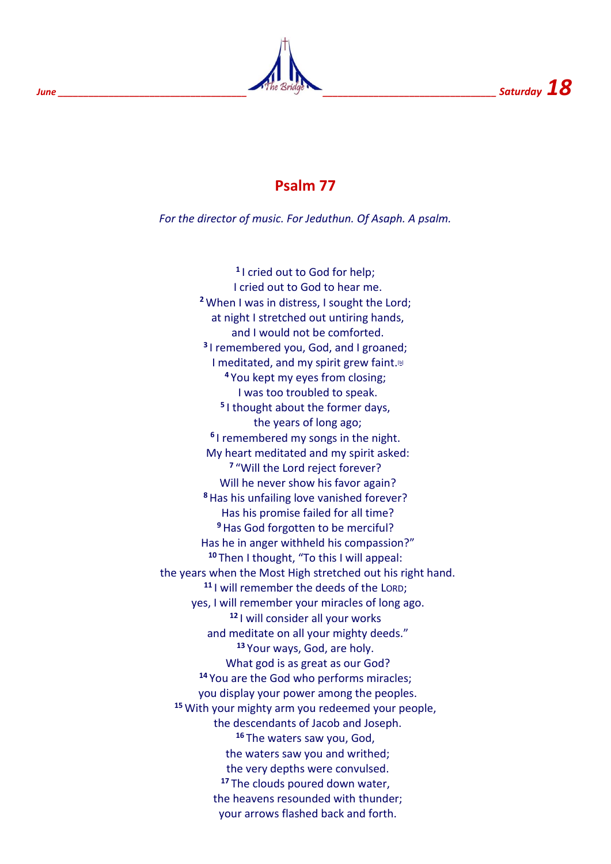

## **Psalm 77**

*For the director of music. For Jeduthun. Of Asaph. A psalm.*

**1** I cried out to God for help; I cried out to God to hear me. **<sup>2</sup>** When I was in distress, I sought the Lord; at night I stretched out untiring hands, and I would not be comforted. **3** I remembered you, God, and I groaned; I meditated, and my spirit grew faint. $\mathbb{D}$ **<sup>4</sup>** You kept my eyes from closing; I was too troubled to speak. **5** I thought about the former days, the years of long ago; **6** I remembered my songs in the night. My heart meditated and my spirit asked: **7** "Will the Lord reject forever? Will he never show his favor again? **<sup>8</sup>**Has his unfailing love vanished forever? Has his promise failed for all time? **<sup>9</sup>**Has God forgotten to be merciful? Has he in anger withheld his compassion?" **<sup>10</sup>** Then I thought, "To this I will appeal: the years when the Most High stretched out his right hand. **<sup>11</sup>** I will remember the deeds of the LORD; yes, I will remember your miracles of long ago. **<sup>12</sup>** I will consider all your works and meditate on all your mighty deeds." **<sup>13</sup>** Your ways, God, are holy. What god is as great as our God? **<sup>14</sup>** You are the God who performs miracles; you display your power among the peoples. **<sup>15</sup>** With your mighty arm you redeemed your people, the descendants of Jacob and Joseph. **<sup>16</sup>** The waters saw you, God, the waters saw you and writhed; the very depths were convulsed. **<sup>17</sup>** The clouds poured down water, the heavens resounded with thunder; your arrows flashed back and forth.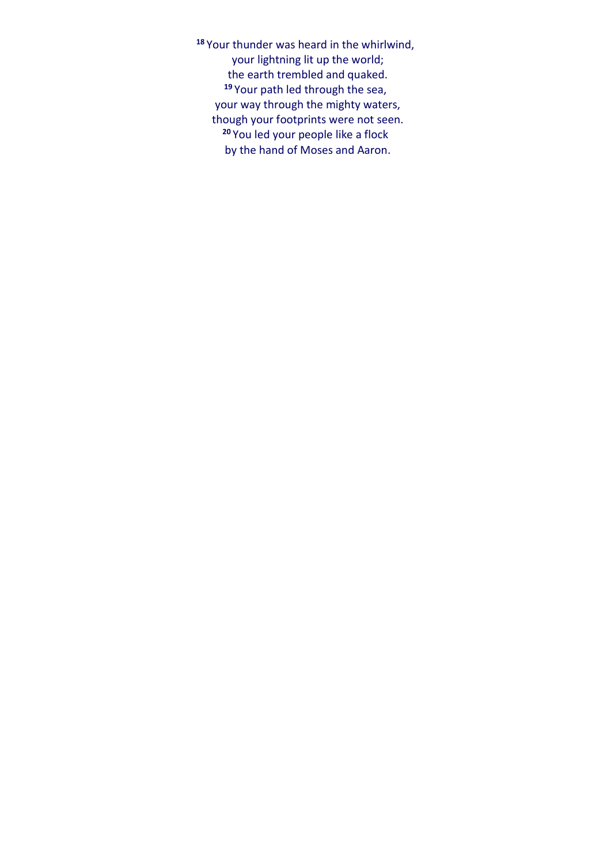**<sup>18</sup>** Your thunder was heard in the whirlwind, your lightning lit up the world; the earth trembled and quaked. **<sup>19</sup>** Your path led through the sea, your way through the mighty waters, though your footprints were not seen. **<sup>20</sup>** You led your people like a flock by the hand of Moses and Aaron.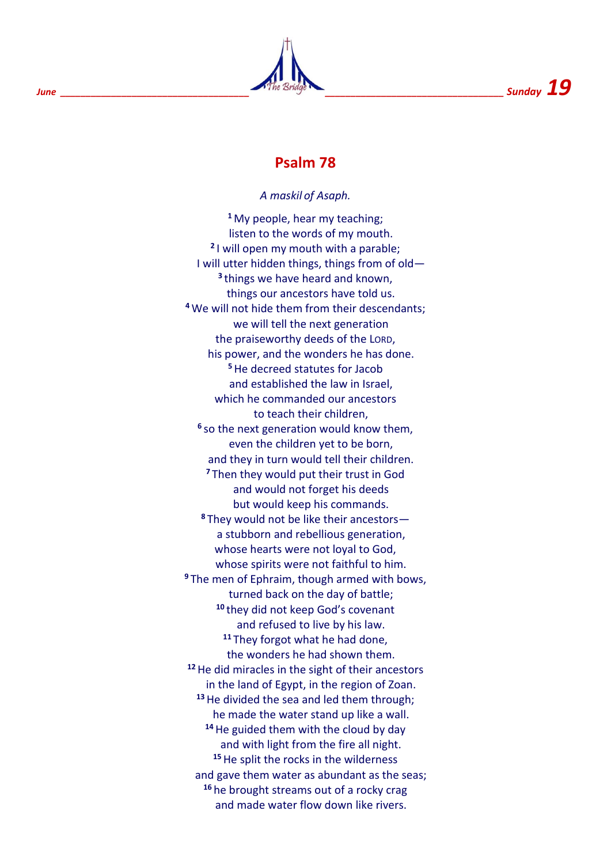

## **Psalm 78**

#### *A maskil of Asaph.*

**<sup>1</sup>** My people, hear my teaching; listen to the words of my mouth. **2** I will open my mouth with a parable; I will utter hidden things, things from of old— **3** things we have heard and known, things our ancestors have told us. **<sup>4</sup>** We will not hide them from their descendants; we will tell the next generation the praiseworthy deeds of the LORD, his power, and the wonders he has done. **<sup>5</sup>**He decreed statutes for Jacob and established the law in Israel, which he commanded our ancestors to teach their children, **6** so the next generation would know them, even the children yet to be born, and they in turn would tell their children. **<sup>7</sup>** Then they would put their trust in God and would not forget his deeds but would keep his commands. **<sup>8</sup>** They would not be like their ancestors a stubborn and rebellious generation, whose hearts were not loyal to God, whose spirits were not faithful to him. **<sup>9</sup>** The men of Ephraim, though armed with bows, turned back on the day of battle; **<sup>10</sup>** they did not keep God's covenant and refused to live by his law. **<sup>11</sup>** They forgot what he had done, the wonders he had shown them. **<sup>12</sup>**He did miracles in the sight of their ancestors in the land of Egypt, in the region of Zoan. **<sup>13</sup>**He divided the sea and led them through; he made the water stand up like a wall. **<sup>14</sup>**He guided them with the cloud by day and with light from the fire all night. **<sup>15</sup>**He split the rocks in the wilderness and gave them water as abundant as the seas; **<sup>16</sup>** he brought streams out of a rocky crag and made water flow down like rivers.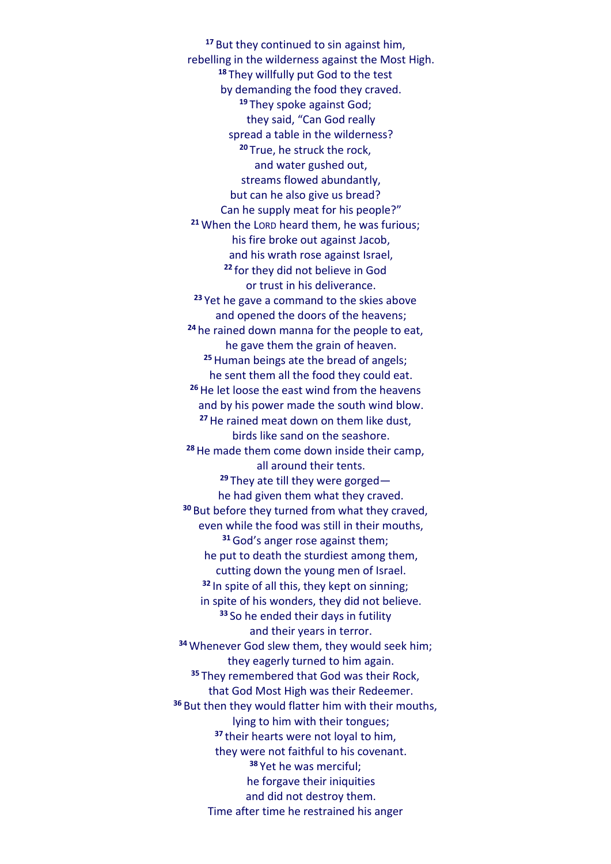**<sup>17</sup>** But they continued to sin against him, rebelling in the wilderness against the Most High. **<sup>18</sup>** They willfully put God to the test by demanding the food they craved. **<sup>19</sup>** They spoke against God; they said, "Can God really spread a table in the wilderness? **<sup>20</sup>** True, he struck the rock, and water gushed out, streams flowed abundantly, but can he also give us bread? Can he supply meat for his people?" **<sup>21</sup>** When the LORD heard them, he was furious; his fire broke out against Jacob, and his wrath rose against Israel, **<sup>22</sup>** for they did not believe in God or trust in his deliverance. **<sup>23</sup>** Yet he gave a command to the skies above and opened the doors of the heavens; **<sup>24</sup>** he rained down manna for the people to eat, he gave them the grain of heaven. **<sup>25</sup>**Human beings ate the bread of angels; he sent them all the food they could eat. **<sup>26</sup>**He let loose the east wind from the heavens and by his power made the south wind blow. **<sup>27</sup>**He rained meat down on them like dust, birds like sand on the seashore. **<sup>28</sup>**He made them come down inside their camp, all around their tents. **<sup>29</sup>** They ate till they were gorged he had given them what they craved. **<sup>30</sup>** But before they turned from what they craved, even while the food was still in their mouths, **<sup>31</sup>**God's anger rose against them; he put to death the sturdiest among them, cutting down the young men of Israel. **<sup>32</sup>** In spite of all this, they kept on sinning; in spite of his wonders, they did not believe. **<sup>33</sup>** So he ended their days in futility and their years in terror. **<sup>34</sup>** Whenever God slew them, they would seek him; they eagerly turned to him again. **<sup>35</sup>** They remembered that God was their Rock, that God Most High was their Redeemer. **<sup>36</sup>** But then they would flatter him with their mouths, lying to him with their tongues; **<sup>37</sup>** their hearts were not loyal to him, they were not faithful to his covenant. **<sup>38</sup>** Yet he was merciful; he forgave their iniquities and did not destroy them. Time after time he restrained his anger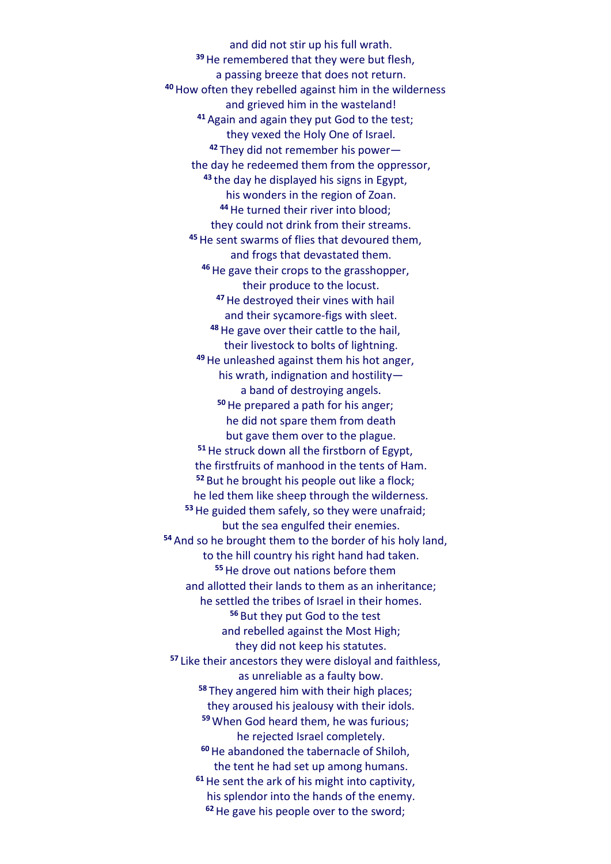and did not stir up his full wrath. **<sup>39</sup>**He remembered that they were but flesh, a passing breeze that does not return. **<sup>40</sup>**How often they rebelled against him in the wilderness and grieved him in the wasteland! **<sup>41</sup>** Again and again they put God to the test; they vexed the Holy One of Israel. **<sup>42</sup>** They did not remember his power the day he redeemed them from the oppressor, **<sup>43</sup>** the day he displayed his signs in Egypt, his wonders in the region of Zoan. **<sup>44</sup>**He turned their river into blood; they could not drink from their streams. **<sup>45</sup>**He sent swarms of flies that devoured them, and frogs that devastated them. **<sup>46</sup>**He gave their crops to the grasshopper, their produce to the locust. **<sup>47</sup>**He destroyed their vines with hail and their sycamore-figs with sleet. **<sup>48</sup>**He gave over their cattle to the hail, their livestock to bolts of lightning. **<sup>49</sup>**He unleashed against them his hot anger, his wrath, indignation and hostility a band of destroying angels. **<sup>50</sup>**He prepared a path for his anger; he did not spare them from death but gave them over to the plague. **<sup>51</sup>**He struck down all the firstborn of Egypt, the firstfruits of manhood in the tents of Ham. **<sup>52</sup>** But he brought his people out like a flock; he led them like sheep through the wilderness. **<sup>53</sup>**He guided them safely, so they were unafraid; but the sea engulfed their enemies. **<sup>54</sup>** And so he brought them to the border of his holy land, to the hill country his right hand had taken. **<sup>55</sup>**He drove out nations before them and allotted their lands to them as an inheritance; he settled the tribes of Israel in their homes. **<sup>56</sup>** But they put God to the test and rebelled against the Most High; they did not keep his statutes. **<sup>57</sup>** Like their ancestors they were disloyal and faithless, as unreliable as a faulty bow. **<sup>58</sup>** They angered him with their high places; they aroused his jealousy with their idols. **<sup>59</sup>** When God heard them, he was furious; he rejected Israel completely. **<sup>60</sup>**He abandoned the tabernacle of Shiloh, the tent he had set up among humans. **<sup>61</sup>**He sent the ark of his might into captivity, his splendor into the hands of the enemy. **62**He gave his people over to the sword;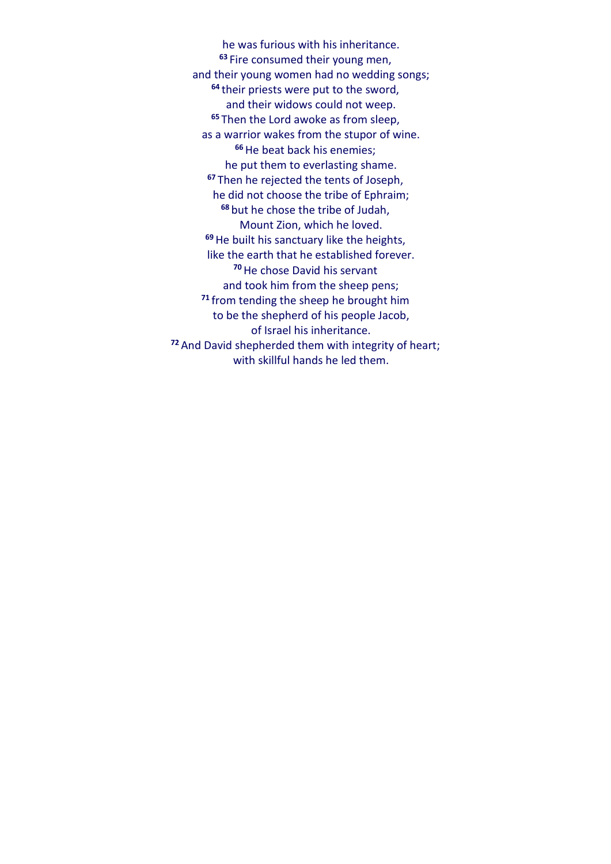he was furious with his inheritance. **<sup>63</sup>** Fire consumed their young men, and their young women had no wedding songs; **<sup>64</sup>** their priests were put to the sword, and their widows could not weep. **<sup>65</sup>** Then the Lord awoke as from sleep, as a warrior wakes from the stupor of wine. **<sup>66</sup>**He beat back his enemies; he put them to everlasting shame. **<sup>67</sup>** Then he rejected the tents of Joseph, he did not choose the tribe of Ephraim; **<sup>68</sup>** but he chose the tribe of Judah, Mount Zion, which he loved. **<sup>69</sup>**He built his sanctuary like the heights, like the earth that he established forever. **<sup>70</sup>**He chose David his servant and took him from the sheep pens; **<sup>71</sup>** from tending the sheep he brought him to be the shepherd of his people Jacob, of Israel his inheritance. **<sup>72</sup>** And David shepherded them with integrity of heart; with skillful hands he led them.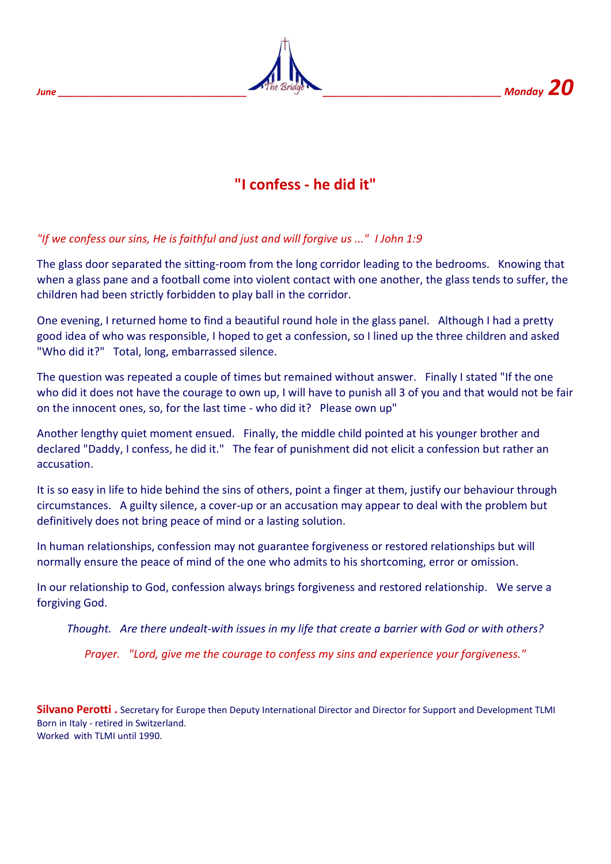

## **"I confess - he did it"**

#### *"If we confess our sins, He is faithful and just and will forgive us ..." I John 1:9*

The glass door separated the sitting-room from the long corridor leading to the bedrooms. Knowing that when a glass pane and a football come into violent contact with one another, the glass tends to suffer, the children had been strictly forbidden to play ball in the corridor.

One evening, I returned home to find a beautiful round hole in the glass panel. Although I had a pretty good idea of who was responsible, I hoped to get a confession, so I lined up the three children and asked "Who did it?" Total, long, embarrassed silence.

The question was repeated a couple of times but remained without answer. Finally I stated "If the one who did it does not have the courage to own up, I will have to punish all 3 of you and that would not be fair on the innocent ones, so, for the last time - who did it? Please own up"

Another lengthy quiet moment ensued. Finally, the middle child pointed at his younger brother and declared "Daddy, I confess, he did it." The fear of punishment did not elicit a confession but rather an accusation.

It is so easy in life to hide behind the sins of others, point a finger at them, justify our behaviour through circumstances. A guilty silence, a cover-up or an accusation may appear to deal with the problem but definitively does not bring peace of mind or a lasting solution.

In human relationships, confession may not guarantee forgiveness or restored relationships but will normally ensure the peace of mind of the one who admits to his shortcoming, error or omission.

In our relationship to God, confession always brings forgiveness and restored relationship. We serve a forgiving God.

*Thought. Are there undealt-with issues in my life that create a barrier with God or with others?*

*Prayer. "Lord, give me the courage to confess my sins and experience your forgiveness."*

**Silvano Perotti .** Secretary for Europe then Deputy International Director and Director for Support and Development TLMI Born in Italy - retired in Switzerland. Worked with TLMI until 1990.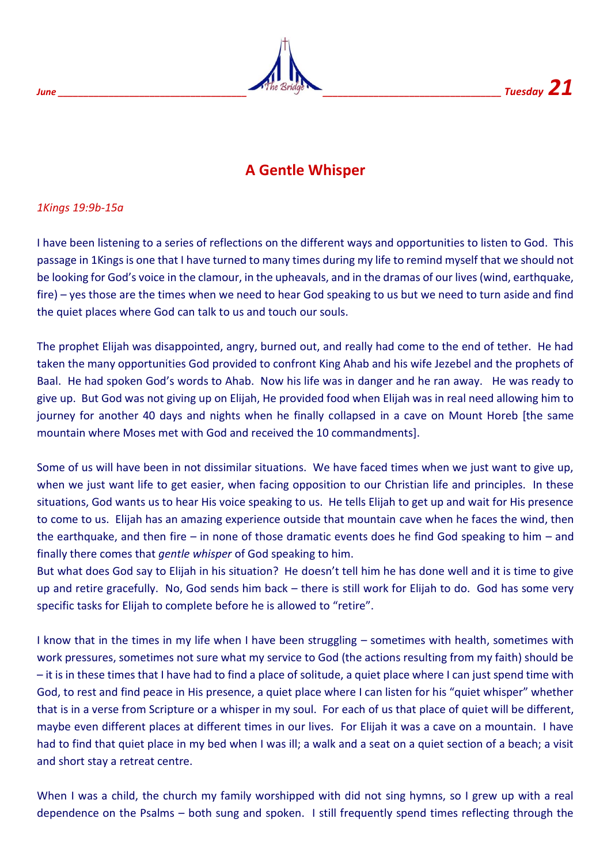

## **A Gentle Whisper**

*1Kings 19:9b-15a* 

I have been listening to a series of reflections on the different ways and opportunities to listen to God. This passage in 1Kings is one that I have turned to many times during my life to remind myself that we should not be looking for God's voice in the clamour, in the upheavals, and in the dramas of our lives (wind, earthquake, fire) – yes those are the times when we need to hear God speaking to us but we need to turn aside and find the quiet places where God can talk to us and touch our souls.

The prophet Elijah was disappointed, angry, burned out, and really had come to the end of tether. He had taken the many opportunities God provided to confront King Ahab and his wife Jezebel and the prophets of Baal. He had spoken God's words to Ahab. Now his life was in danger and he ran away. He was ready to give up. But God was not giving up on Elijah, He provided food when Elijah was in real need allowing him to journey for another 40 days and nights when he finally collapsed in a cave on Mount Horeb [the same mountain where Moses met with God and received the 10 commandments].

Some of us will have been in not dissimilar situations. We have faced times when we just want to give up, when we just want life to get easier, when facing opposition to our Christian life and principles. In these situations, God wants us to hear His voice speaking to us. He tells Elijah to get up and wait for His presence to come to us. Elijah has an amazing experience outside that mountain cave when he faces the wind, then the earthquake, and then fire – in none of those dramatic events does he find God speaking to him – and finally there comes that *gentle whisper* of God speaking to him.

But what does God say to Elijah in his situation? He doesn't tell him he has done well and it is time to give up and retire gracefully. No, God sends him back – there is still work for Elijah to do. God has some very specific tasks for Elijah to complete before he is allowed to "retire".

I know that in the times in my life when I have been struggling – sometimes with health, sometimes with work pressures, sometimes not sure what my service to God (the actions resulting from my faith) should be – it is in these times that I have had to find a place of solitude, a quiet place where I can just spend time with God, to rest and find peace in His presence, a quiet place where I can listen for his "quiet whisper" whether that is in a verse from Scripture or a whisper in my soul. For each of us that place of quiet will be different, maybe even different places at different times in our lives. For Elijah it was a cave on a mountain. I have had to find that quiet place in my bed when I was ill; a walk and a seat on a quiet section of a beach; a visit and short stay a retreat centre.

When I was a child, the church my family worshipped with did not sing hymns, so I grew up with a real dependence on the Psalms – both sung and spoken. I still frequently spend times reflecting through the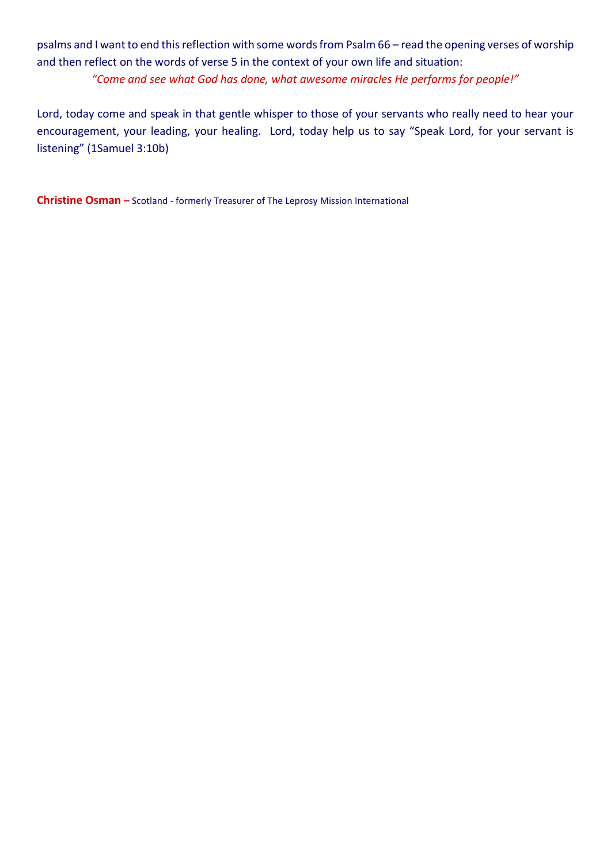psalms and I want to end this reflection with some words from Psalm 66 – read the opening verses of worship and then reflect on the words of verse 5 in the context of your own life and situation:

*"Come and see what God has done, what awesome miracles He performs for people!"*

Lord, today come and speak in that gentle whisper to those of your servants who really need to hear your encouragement, your leading, your healing. Lord, today help us to say "Speak Lord, for your servant is listening" (1Samuel 3:10b)

**Christine Osman –** Scotland - formerly Treasurer of The Leprosy Mission International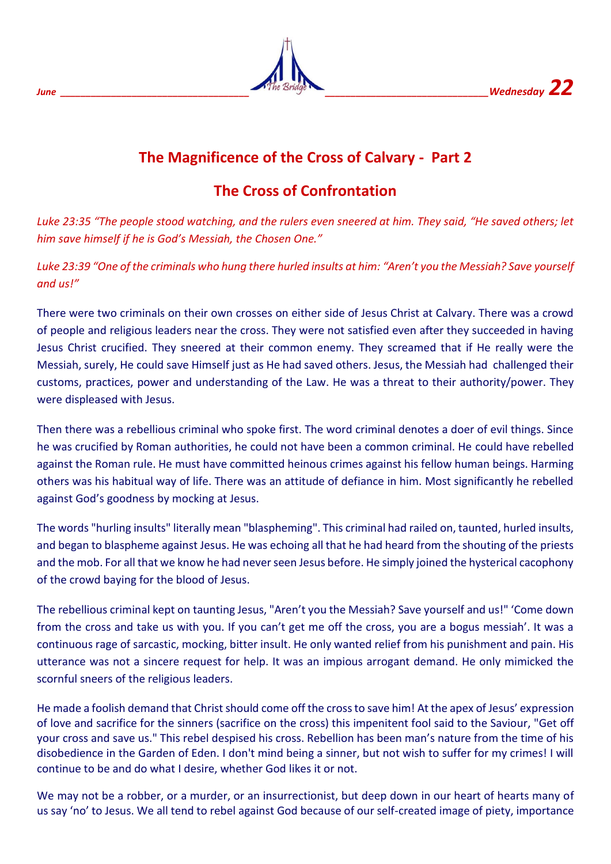

## **The Magnificence of the Cross of Calvary - Part 2**

## **The Cross of Confrontation**

*Luke 23:35 "The people stood watching, and the rulers even sneered at him. They said, "He saved others; let him save himself if he is God's Messiah, the Chosen One."*

Luke 23:39 "One of the criminals who hung there hurled insults at him: "Aren't you the Messiah? Save yourself *and us!"*

There were two criminals on their own crosses on either side of Jesus Christ at Calvary. There was a crowd of people and religious leaders near the cross. They were not satisfied even after they succeeded in having Jesus Christ crucified. They sneered at their common enemy. They screamed that if He really were the Messiah, surely, He could save Himself just as He had saved others. Jesus, the Messiah had challenged their customs, practices, power and understanding of the Law. He was a threat to their authority/power. They were displeased with Jesus.

Then there was a rebellious criminal who spoke first. The word criminal denotes a doer of evil things. Since he was crucified by Roman authorities, he could not have been a common criminal. He could have rebelled against the Roman rule. He must have committed heinous crimes against his fellow human beings. Harming others was his habitual way of life. There was an attitude of defiance in him. Most significantly he rebelled against God's goodness by mocking at Jesus.

The words "hurling insults" literally mean "blaspheming". This criminal had railed on, taunted, hurled insults, and began to blaspheme against Jesus. He was echoing all that he had heard from the shouting of the priests and the mob. For all that we know he had never seen Jesus before. He simply joined the hysterical cacophony of the crowd baying for the blood of Jesus.

The rebellious criminal kept on taunting Jesus, "Aren't you the Messiah? Save yourself and us!" 'Come down from the cross and take us with you. If you can't get me off the cross, you are a bogus messiah'. It was a continuous rage of sarcastic, mocking, bitter insult. He only wanted relief from his punishment and pain. His utterance was not a sincere request for help. It was an impious arrogant demand. He only mimicked the scornful sneers of the religious leaders.

He made a foolish demand that Christ should come off the cross to save him! At the apex of Jesus' expression of love and sacrifice for the sinners (sacrifice on the cross) this impenitent fool said to the Saviour, "Get off your cross and save us." This rebel despised his cross. Rebellion has been man's nature from the time of his disobedience in the Garden of Eden. I don't mind being a sinner, but not wish to suffer for my crimes! I will continue to be and do what I desire, whether God likes it or not.

We may not be a robber, or a murder, or an insurrectionist, but deep down in our heart of hearts many of us say 'no' to Jesus. We all tend to rebel against God because of our self-created image of piety, importance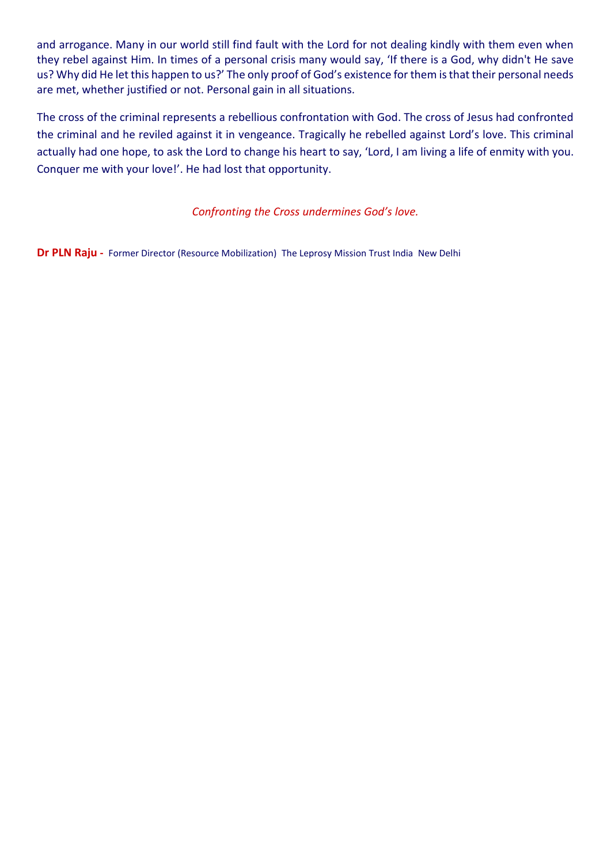and arrogance. Many in our world still find fault with the Lord for not dealing kindly with them even when they rebel against Him. In times of a personal crisis many would say, 'If there is a God, why didn't He save us? Why did He let this happen to us?' The only proof of God's existence for them is that their personal needs are met, whether justified or not. Personal gain in all situations.

The cross of the criminal represents a rebellious confrontation with God. The cross of Jesus had confronted the criminal and he reviled against it in vengeance. Tragically he rebelled against Lord's love. This criminal actually had one hope, to ask the Lord to change his heart to say, 'Lord, I am living a life of enmity with you. Conquer me with your love!'. He had lost that opportunity.

*Confronting the Cross undermines God's love.*

**Dr PLN Raju -** Former Director (Resource Mobilization)The Leprosy Mission Trust IndiaNew Delhi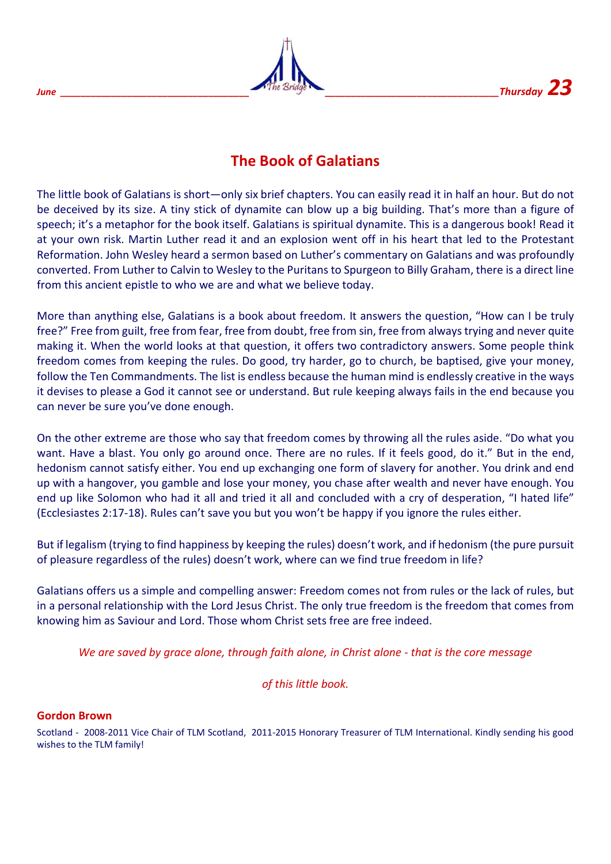

## **The Book of Galatians**

The little book of Galatians is short—only six brief chapters. You can easily read it in half an hour. But do not be deceived by its size. A tiny stick of dynamite can blow up a big building. That's more than a figure of speech; it's a metaphor for the book itself. Galatians is spiritual dynamite. This is a dangerous book! Read it at your own risk. Martin Luther read it and an explosion went off in his heart that led to the Protestant Reformation. John Wesley heard a sermon based on Luther's commentary on Galatians and was profoundly converted. From Luther to Calvin to Wesley to the Puritans to Spurgeon to Billy Graham, there is a direct line from this ancient epistle to who we are and what we believe today.

More than anything else, Galatians is a book about freedom. It answers the question, "How can I be truly free?" Free from guilt, free from fear, free from doubt, free from sin, free from always trying and never quite making it. When the world looks at that question, it offers two contradictory answers. Some people think freedom comes from keeping the rules. Do good, try harder, go to church, be baptised, give your money, follow the Ten Commandments. The list is endless because the human mind is endlessly creative in the ways it devises to please a God it cannot see or understand. But rule keeping always fails in the end because you can never be sure you've done enough.

On the other extreme are those who say that freedom comes by throwing all the rules aside. "Do what you want. Have a blast. You only go around once. There are no rules. If it feels good, do it." But in the end, hedonism cannot satisfy either. You end up exchanging one form of slavery for another. You drink and end up with a hangover, you gamble and lose your money, you chase after wealth and never have enough. You end up like Solomon who had it all and tried it all and concluded with a cry of desperation, "I hated life" (Ecclesiastes 2:17-18). Rules can't save you but you won't be happy if you ignore the rules either.

But if legalism (trying to find happiness by keeping the rules) doesn't work, and if hedonism (the pure pursuit of pleasure regardless of the rules) doesn't work, where can we find true freedom in life?

Galatians offers us a simple and compelling answer: Freedom comes not from rules or the lack of rules, but in a personal relationship with the Lord Jesus Christ. The only true freedom is the freedom that comes from knowing him as Saviour and Lord. Those whom Christ sets free are free indeed.

*We are saved by grace alone, through faith alone, in Christ alone - that is the core message*

*of this little book.*

#### **Gordon Brown**

Scotland - 2008-2011 Vice Chair of TLM Scotland, 2011-2015 Honorary Treasurer of TLM International. Kindly sending his good wishes to the TLM family!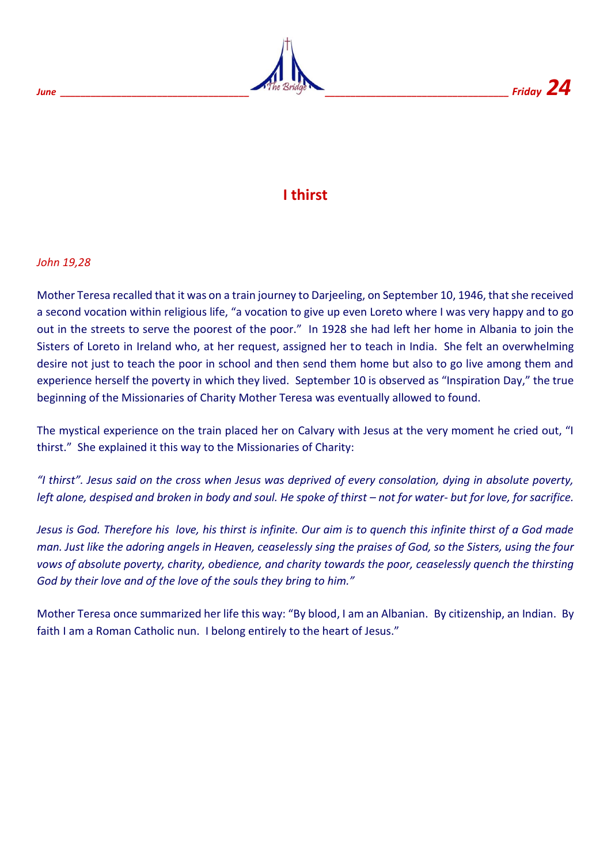



## **I thirst**

#### *John 19,28*

Mother Teresa recalled that it was on a train journey to Darjeeling, on September 10, 1946, that she received a second vocation within religious life, "a vocation to give up even Loreto where I was very happy and to go out in the streets to serve the poorest of the poor." In 1928 she had left her home in Albania to join the Sisters of Loreto in Ireland who, at her request, assigned her to teach in India. She felt an overwhelming desire not just to teach the poor in school and then send them home but also to go live among them and experience herself the poverty in which they lived. September 10 is observed as "Inspiration Day," the true beginning of the Missionaries of Charity Mother Teresa was eventually allowed to found.

The mystical experience on the train placed her on Calvary with Jesus at the very moment he cried out, "I thirst." She explained it this way to the Missionaries of Charity:

*"I thirst". Jesus said on the cross when Jesus was deprived of every consolation, dying in absolute poverty, left alone, despised and broken in body and soul. He spoke of thirst – not for water- but for love, for sacrifice.* 

*Jesus is God. Therefore his love, his thirst is infinite. Our aim is to quench this infinite thirst of a God made man. Just like the adoring angels in Heaven, ceaselessly sing the praises of God, so the Sisters, using the four vows of absolute poverty, charity, obedience, and charity towards the poor, ceaselessly quench the thirsting God by their love and of the love of the souls they bring to him."*

Mother Teresa once summarized her life this way: "By blood, I am an Albanian. By citizenship, an Indian. By faith I am a Roman Catholic nun. I belong entirely to the heart of Jesus."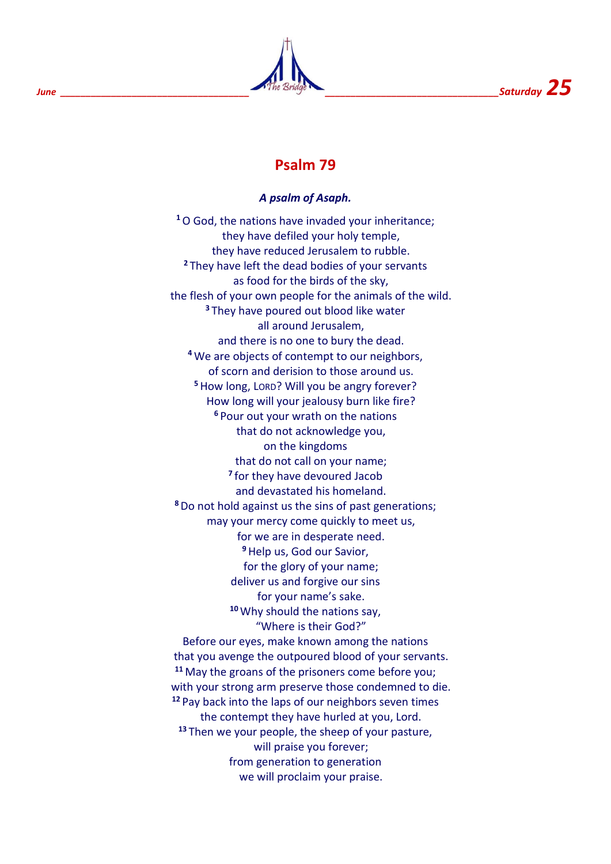

## **Psalm 79**

#### *A psalm of Asaph.*

**<sup>1</sup>**O God, the nations have invaded your inheritance; they have defiled your holy temple, they have reduced Jerusalem to rubble. **<sup>2</sup>** They have left the dead bodies of your servants as food for the birds of the sky, the flesh of your own people for the animals of the wild. **<sup>3</sup>** They have poured out blood like water all around Jerusalem, and there is no one to bury the dead. **<sup>4</sup>** We are objects of contempt to our neighbors, of scorn and derision to those around us. **<sup>5</sup>**How long, LORD? Will you be angry forever? How long will your jealousy burn like fire? **<sup>6</sup>** Pour out your wrath on the nations that do not acknowledge you, on the kingdoms that do not call on your name; **7** for they have devoured Jacob and devastated his homeland. **<sup>8</sup>**Do not hold against us the sins of past generations; may your mercy come quickly to meet us, for we are in desperate need. **<sup>9</sup>**Help us, God our Savior, for the glory of your name; deliver us and forgive our sins for your name's sake. **<sup>10</sup>** Why should the nations say, "Where is their God?" Before our eyes, make known among the nations that you avenge the outpoured blood of your servants. **<sup>11</sup>** May the groans of the prisoners come before you; with your strong arm preserve those condemned to die. **<sup>12</sup>** Pay back into the laps of our neighbors seven times the contempt they have hurled at you, Lord. **<sup>13</sup>** Then we your people, the sheep of your pasture, will praise you forever; from generation to generation we will proclaim your praise.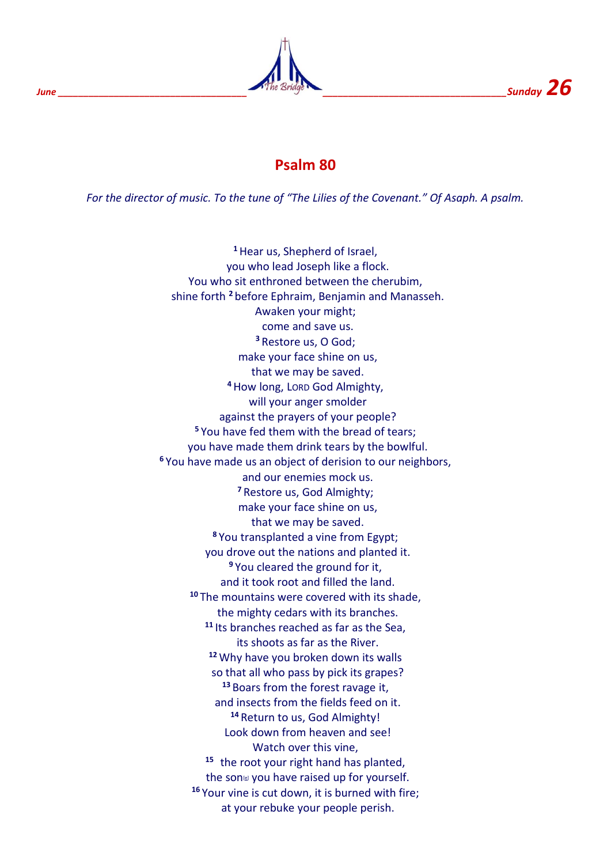

## **Psalm 80**

*For the director of music. To the tune of "The Lilies of the Covenant." Of Asaph. A psalm.*

**<sup>1</sup>**Hear us, Shepherd of Israel, you who lead Joseph like a flock. You who sit enthroned between the cherubim, shine forth **<sup>2</sup>** before Ephraim, Benjamin and Manasseh. Awaken your might; come and save us. **<sup>3</sup>** Restore us, O God; make your face shine on us, that we may be saved. **<sup>4</sup>**How long, LORD God Almighty, will your anger smolder against the prayers of your people? **<sup>5</sup>** You have fed them with the bread of tears; you have made them drink tears by the bowlful. **<sup>6</sup>** You have made us an object of derision to our neighbors, and our enemies mock us. **<sup>7</sup>** Restore us, God Almighty; make your face shine on us, that we may be saved. **<sup>8</sup>** You transplanted a vine from Egypt; you drove out the nations and planted it. **<sup>9</sup>** You cleared the ground for it, and it took root and filled the land. **<sup>10</sup>** The mountains were covered with its shade, the mighty cedars with its branches. **<sup>11</sup>** Its branches reached as far as the Sea, its shoots as far as the River. **<sup>12</sup>** Why have you broken down its walls so that all who pass by pick its grapes? **<sup>13</sup>** Boars from the forest ravage it, and insects from the fields feed on it. **<sup>14</sup>** Return to us, God Almighty! Look down from heaven and see! Watch over this vine, **15** the root your right hand has planted, the son<sup>e</sup> you have raised up for yourself. **<sup>16</sup>** Your vine is cut down, it is burned with fire; at your rebuke your people perish.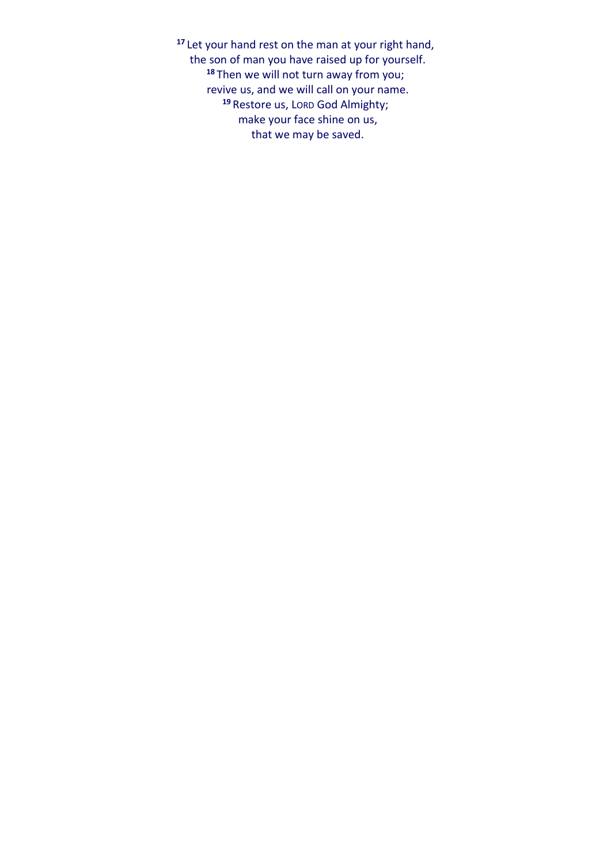**<sup>17</sup>** Let your hand rest on the man at your right hand, the son of man you have raised up for yourself. **<sup>18</sup>** Then we will not turn away from you; revive us, and we will call on your name. **<sup>19</sup>** Restore us, LORD God Almighty; make your face shine on us, that we may be saved.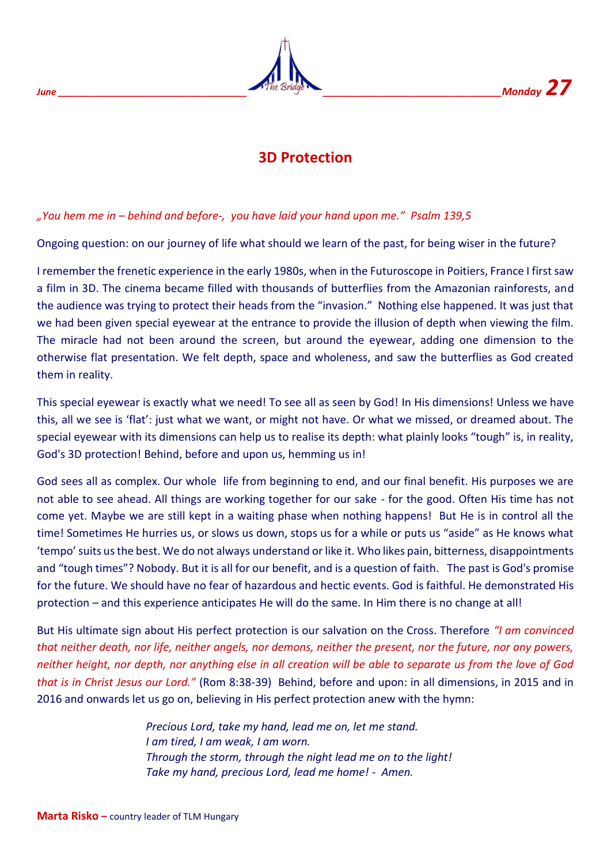

## **3D Protection**

## *"You hem me in – behind and before-, you have laid your hand upon me." Psalm 139,5*

Ongoing question: on our journey of life what should we learn of the past, for being wiser in the future?

I remember the frenetic experience in the early 1980s, when in the Futuroscope in Poitiers, France I first saw a film in 3D. The cinema became filled with thousands of butterflies from the Amazonian rainforests, and the audience was trying to protect their heads from the "invasion." Nothing else happened. It was just that we had been given special eyewear at the entrance to provide the illusion of depth when viewing the film. The miracle had not been around the screen, but around the eyewear, adding one dimension to the otherwise flat presentation. We felt depth, space and wholeness, and saw the butterflies as God created them in reality.

This special eyewear is exactly what we need! To see all as seen by God! In His dimensions! Unless we have this, all we see is 'flat': just what we want, or might not have. Or what we missed, or dreamed about. The special eyewear with its dimensions can help us to realise its depth: what plainly looks "tough" is, in reality, God's 3D protection! Behind, before and upon us, hemming us in!

God sees all as complex. Our whole life from beginning to end, and our final benefit. His purposes we are not able to see ahead. All things are working together for our sake - for the good. Often His time has not come yet. Maybe we are still kept in a waiting phase when nothing happens! But He is in control all the time! Sometimes He hurries us, or slows us down, stops us for a while or puts us "aside" as He knows what 'tempo' suits us the best. We do not always understand or like it. Who likes pain, bitterness, disappointments and "tough times"? Nobody. But it is all for our benefit, and is a question of faith. The past is God's promise for the future. We should have no fear of hazardous and hectic events. God is faithful. He demonstrated His protection – and this experience anticipates He will do the same. In Him there is no change at all!

But His ultimate sign about His perfect protection is our salvation on the Cross. Therefore *"I am convinced that neither death, nor life, neither angels, nor demons, neither the present, nor the future, nor any powers, neither height, nor depth, nor anything else in all creation will be able to separate us from the love of God that is in Christ Jesus our Lord."* (Rom 8:38-39) Behind, before and upon: in all dimensions, in 2015 and in 2016 and onwards let us go on, believing in His perfect protection anew with the hymn:

> *Precious Lord, take my hand, lead me on, let me stand. I am tired, I am weak, I am worn. Through the storm, through the night lead me on to the light! Take my hand, precious Lord, lead me home! - Amen.*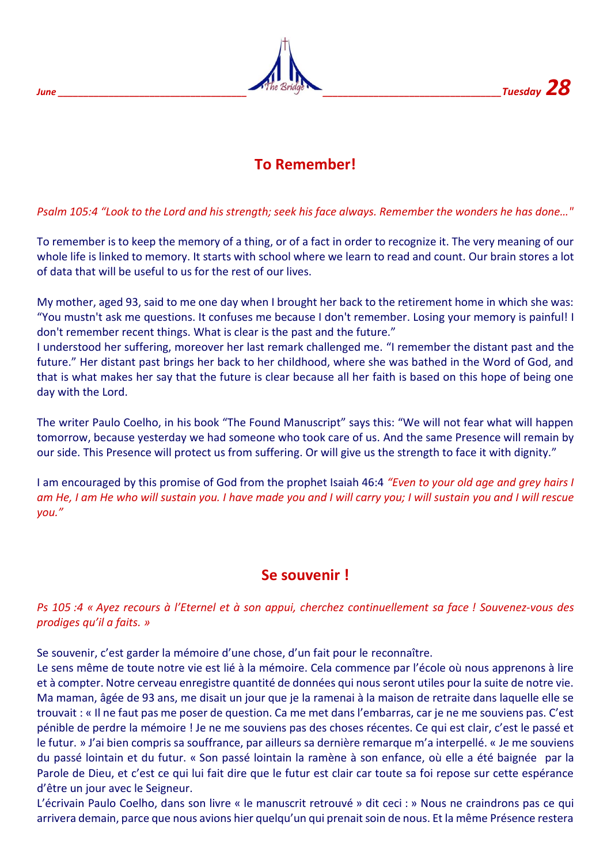

## **To Remember!**

## *Psalm 105:4 "Look to the Lord and his strength; seek his face always. Remember the wonders he has done…"*

To remember is to keep the memory of a thing, or of a fact in order to recognize it. The very meaning of our whole life is linked to memory. It starts with school where we learn to read and count. Our brain stores a lot of data that will be useful to us for the rest of our lives.

My mother, aged 93, said to me one day when I brought her back to the retirement home in which she was: "You mustn't ask me questions. It confuses me because I don't remember. Losing your memory is painful! I don't remember recent things. What is clear is the past and the future."

I understood her suffering, moreover her last remark challenged me. "I remember the distant past and the future." Her distant past brings her back to her childhood, where she was bathed in the Word of God, and that is what makes her say that the future is clear because all her faith is based on this hope of being one day with the Lord.

The writer Paulo Coelho, in his book "The Found Manuscript" says this: "We will not fear what will happen tomorrow, because yesterday we had someone who took care of us. And the same Presence will remain by our side. This Presence will protect us from suffering. Or will give us the strength to face it with dignity."

I am encouraged by this promise of God from the prophet Isaiah 46:4 *"Even to your old age and grey hairs I am He, I am He who will sustain you. I have made you and I will carry you; I will sustain you and I will rescue you."*

## **Se souvenir !**

#### *Ps 105 :4 « Ayez recours à l'Eternel et à son appui, cherchez continuellement sa face ! Souvenez-vous des prodiges qu'il a faits. »*

Se souvenir, c'est garder la mémoire d'une chose, d'un fait pour le reconnaître.

Le sens même de toute notre vie est lié à la mémoire. Cela commence par l'école où nous apprenons à lire et à compter. Notre cerveau enregistre quantité de données qui nous seront utiles pour la suite de notre vie. Ma maman, âgée de 93 ans, me disait un jour que je la ramenai à la maison de retraite dans laquelle elle se trouvait : « Il ne faut pas me poser de question. Ca me met dans l'embarras, car je ne me souviens pas. C'est pénible de perdre la mémoire ! Je ne me souviens pas des choses récentes. Ce qui est clair, c'est le passé et le futur. » J'ai bien compris sa souffrance, par ailleurs sa dernière remarque m'a interpellé. « Je me souviens du passé lointain et du futur. « Son passé lointain la ramène à son enfance, où elle a été baignée par la Parole de Dieu, et c'est ce qui lui fait dire que le futur est clair car toute sa foi repose sur cette espérance d'être un jour avec le Seigneur.

L'écrivain Paulo Coelho, dans son livre « le manuscrit retrouvé » dit ceci : » Nous ne craindrons pas ce qui arrivera demain, parce que nous avions hier quelqu'un qui prenait soin de nous. Et la même Présence restera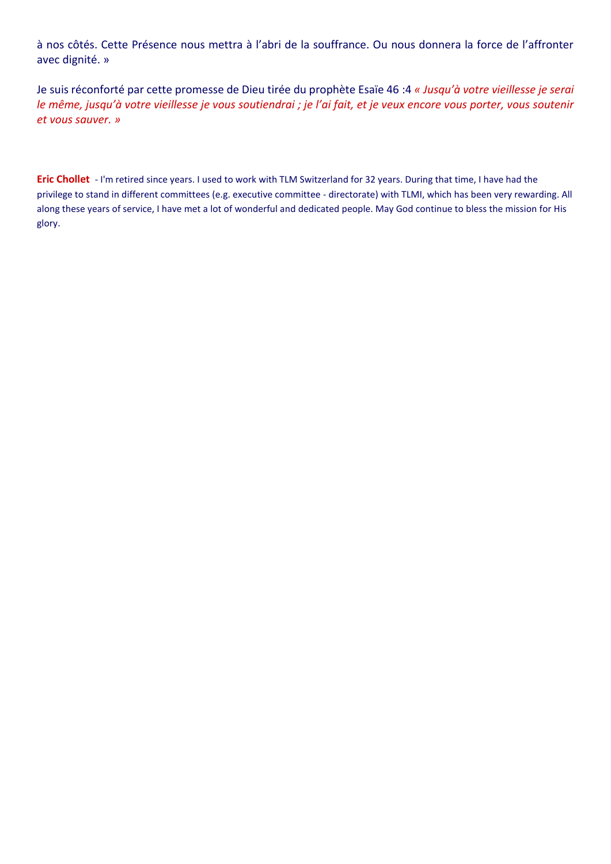à nos côtés. Cette Présence nous mettra à l'abri de la souffrance. Ou nous donnera la force de l'affronter avec dignité. »

Je suis réconforté par cette promesse de Dieu tirée du prophète Esaïe 46 :4 *« Jusqu'à votre vieillesse je serai le même, jusqu'à votre vieillesse je vous soutiendrai ; je l'ai fait, et je veux encore vous porter, vous soutenir et vous sauver. »*

**Eric Chollet** - I'm retired since years. I used to work with TLM Switzerland for 32 years. During that time, I have had the privilege to stand in different committees (e.g. executive committee - directorate) with TLMI, which has been very rewarding. All along these years of service, I have met a lot of wonderful and dedicated people. May God continue to bless the mission for His glory.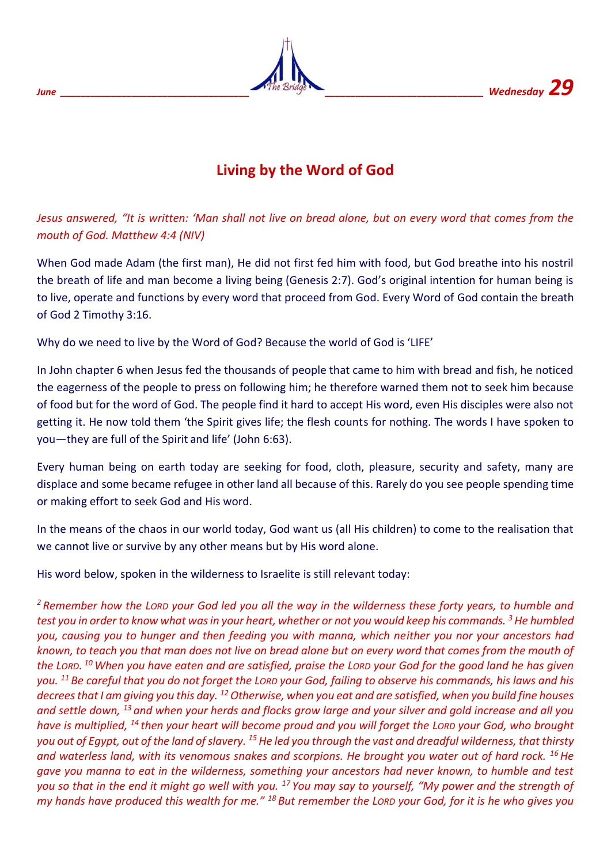

## **Living by the Word of God**

*Jesus answered, "It is written: 'Man shall not live on bread alone, but on every word that comes from the mouth of God. Matthew 4:4 (NIV)*

When God made Adam (the first man), He did not first fed him with food, but God breathe into his nostril the breath of life and man become a living being (Genesis 2:7). God's original intention for human being is to live, operate and functions by every word that proceed from God. Every Word of God contain the breath of God 2 Timothy 3:16.

Why do we need to live by the Word of God? Because the world of God is 'LIFE'

In John chapter 6 when Jesus fed the thousands of people that came to him with bread and fish, he noticed the eagerness of the people to press on following him; he therefore warned them not to seek him because of food but for the word of God. The people find it hard to accept His word, even His disciples were also not getting it. He now told them 'the Spirit gives life; the flesh counts for nothing. The words I have spoken to you—they are full of the Spirit and life' (John 6:63).

Every human being on earth today are seeking for food, cloth, pleasure, security and safety, many are displace and some became refugee in other land all because of this. Rarely do you see people spending time or making effort to seek God and His word.

In the means of the chaos in our world today, God want us (all His children) to come to the realisation that we cannot live or survive by any other means but by His word alone.

His word below, spoken in the wilderness to Israelite is still relevant today:

*<sup>2</sup> Remember how the LORD your God led you all the way in the wilderness these forty years, to humble and test you in order to know what was in your heart, whether or not you would keep his commands. <sup>3</sup>He humbled you, causing you to hunger and then feeding you with manna, which neither you nor your ancestors had known, to teach you that man does not live on bread alone but on every word that comes from the mouth of the LORD. <sup>10</sup> When you have eaten and are satisfied, praise the LORD your God for the good land he has given you. <sup>11</sup> Be careful that you do not forget the LORD your God, failing to observe his commands, his laws and his decrees that I am giving you this day. <sup>12</sup>Otherwise, when you eat and are satisfied, when you build fine houses and settle down, <sup>13</sup> and when your herds and flocks grow large and your silver and gold increase and all you have is multiplied, <sup>14</sup> then your heart will become proud and you will forget the LORD your God, who brought you out of Egypt, out of the land of slavery. <sup>15</sup>He led you through the vast and dreadful wilderness, that thirsty and waterless land, with its venomous snakes and scorpions. He brought you water out of hard rock. <sup>16</sup>He gave you manna to eat in the wilderness, something your ancestors had never known, to humble and test you so that in the end it might go well with you. <sup>17</sup> You may say to yourself, "My power and the strength of my hands have produced this wealth for me." <sup>18</sup> But remember the LORD your God, for it is he who gives you*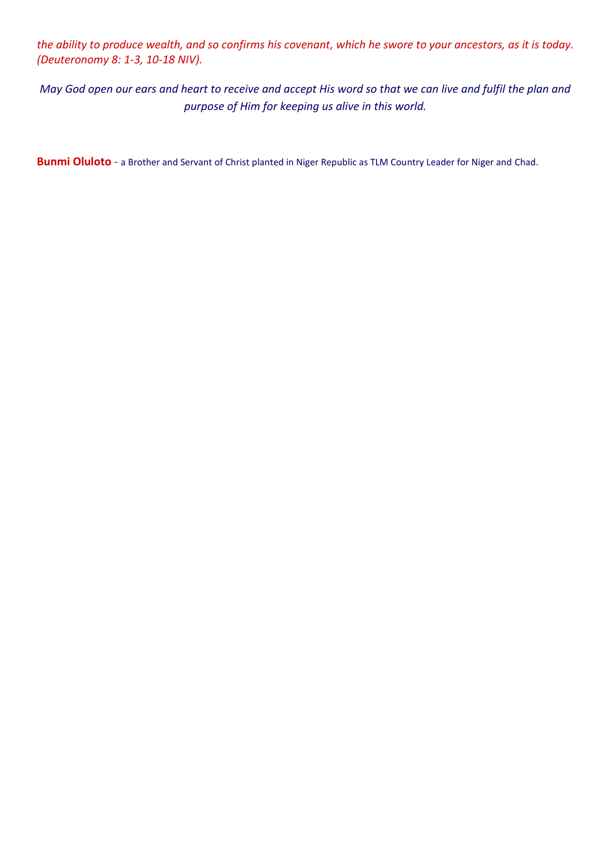*the ability to produce wealth, and so confirms his covenant, which he swore to your ancestors, as it is today. (Deuteronomy 8: 1-3, 10-18 NIV).* 

*May God open our ears and heart to receive and accept His word so that we can live and fulfil the plan and purpose of Him for keeping us alive in this world.*

**Bunmi Oluloto** - a Brother and Servant of Christ planted in Niger Republic as TLM Country Leader for Niger and Chad.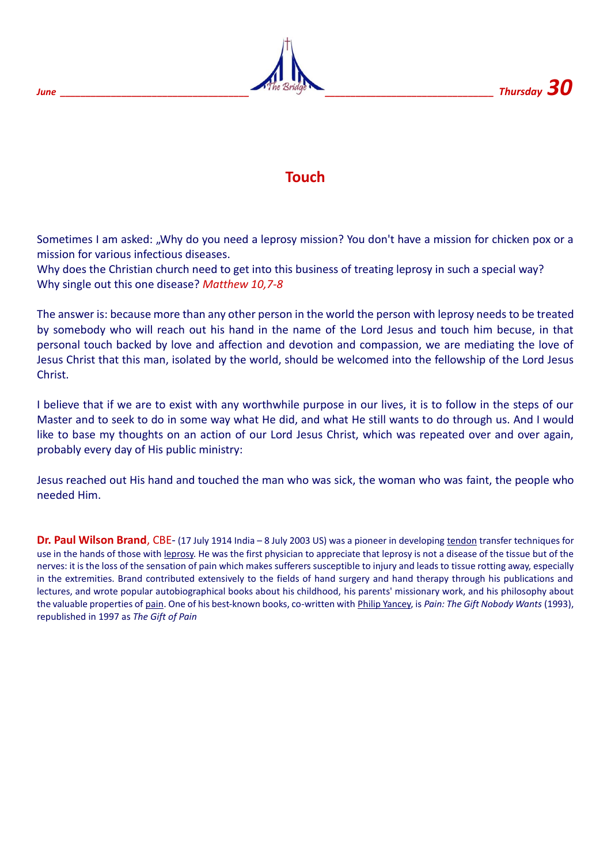

## **Touch**

Sometimes I am asked: "Why do you need a leprosy mission? You don't have a mission for chicken pox or a mission for various infectious diseases.

Why does the Christian church need to get into this business of treating leprosy in such a special way? Why single out this one disease? *Matthew 10,7-8*

The answer is: because more than any other person in the world the person with leprosy needs to be treated by somebody who will reach out his hand in the name of the Lord Jesus and touch him becuse, in that personal touch backed by love and affection and devotion and compassion, we are mediating the love of Jesus Christ that this man, isolated by the world, should be welcomed into the fellowship of the Lord Jesus Christ.

I believe that if we are to exist with any worthwhile purpose in our lives, it is to follow in the steps of our Master and to seek to do in some way what He did, and what He still wants to do through us. And I would like to base my thoughts on an action of our Lord Jesus Christ, which was repeated over and over again, probably every day of His public ministry:

Jesus reached out His hand and touched the man who was sick, the woman who was faint, the people who needed Him.

**Dr. Paul Wilson Brand**, CBE- (17 July 1914 India – 8 July 2003 US) was a pioneer in developing [tendon](https://en.wikipedia.org/wiki/Tendon) transfer techniques for use in the hands of those with [leprosy.](https://en.wikipedia.org/wiki/Leprosy) He was the first physician to appreciate that leprosy is not a disease of the tissue but of the nerves: it is the loss of the sensation of pain which makes sufferers susceptible to injury and leads to tissue rotting away, especially in the extremities. Brand contributed extensively to the fields of hand surgery and hand therapy through his publications and lectures, and wrote popular autobiographical books about his childhood, his parents' missionary work, and his philosophy about the valuable properties of [pain.](https://en.wikipedia.org/wiki/Pain) One of his best-known books, co-written with [Philip Yancey,](https://en.wikipedia.org/wiki/Philip_Yancey) is *Pain: The Gift Nobody Wants* (1993), republished in 1997 as *The Gift of Pain*